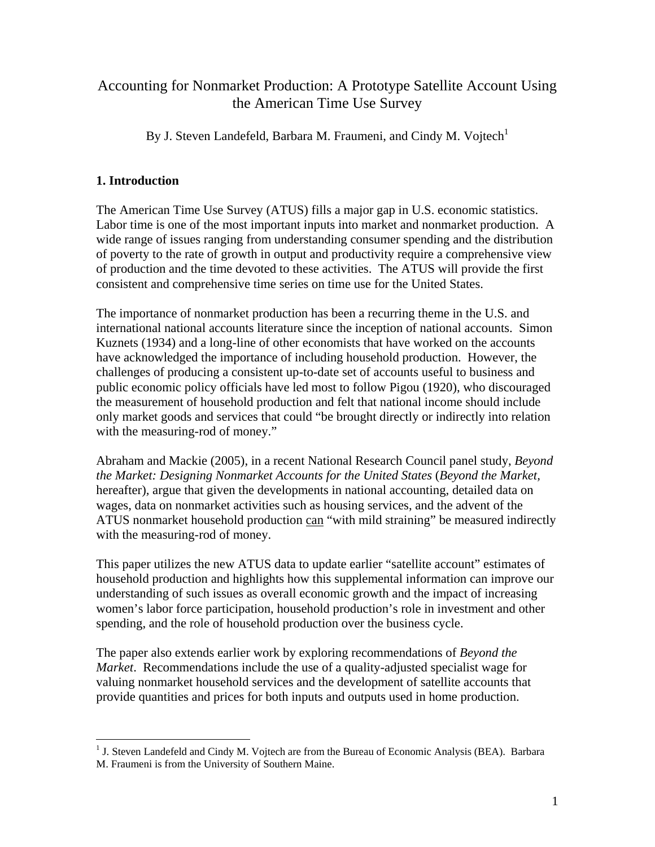# Accounting for Nonmarket Production: A Prototype Satellite Account Using the American Time Use Survey

By J. Steven Landefeld, Barbara M. Fraumeni, and Cindy M. Vojtech<sup>1</sup>

# **1. Introduction**

 $\overline{a}$ 

The American Time Use Survey (ATUS) fills a major gap in U.S. economic statistics. Labor time is one of the most important inputs into market and nonmarket production. A wide range of issues ranging from understanding consumer spending and the distribution of poverty to the rate of growth in output and productivity require a comprehensive view of production and the time devoted to these activities. The ATUS will provide the first consistent and comprehensive time series on time use for the United States.

The importance of nonmarket production has been a recurring theme in the U.S. and international national accounts literature since the inception of national accounts. Simon Kuznets (1934) and a long-line of other economists that have worked on the accounts have acknowledged the importance of including household production. However, the challenges of producing a consistent up-to-date set of accounts useful to business and public economic policy officials have led most to follow Pigou (1920), who discouraged the measurement of household production and felt that national income should include only market goods and services that could "be brought directly or indirectly into relation with the measuring-rod of money."

Abraham and Mackie (2005), in a recent National Research Council panel study, *Beyond the Market: Designing Nonmarket Accounts for the United States* (*Beyond the Market,*  hereafter)*,* argue that given the developments in national accounting, detailed data on wages, data on nonmarket activities such as housing services, and the advent of the ATUS nonmarket household production can "with mild straining" be measured indirectly with the measuring-rod of money.

This paper utilizes the new ATUS data to update earlier "satellite account" estimates of household production and highlights how this supplemental information can improve our understanding of such issues as overall economic growth and the impact of increasing women's labor force participation, household production's role in investment and other spending, and the role of household production over the business cycle.

The paper also extends earlier work by exploring recommendations of *Beyond the Market*. Recommendations include the use of a quality-adjusted specialist wage for valuing nonmarket household services and the development of satellite accounts that provide quantities and prices for both inputs and outputs used in home production.

<sup>&</sup>lt;sup>1</sup> J. Steven Landefeld and Cindy M. Vojtech are from the Bureau of Economic Analysis (BEA). Barbara M. Fraumeni is from the University of Southern Maine.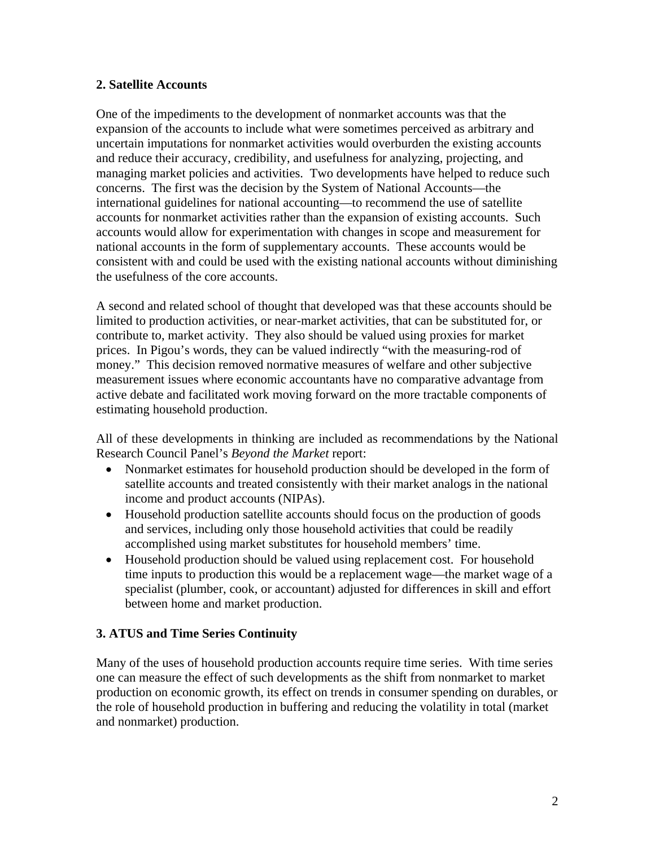### **2. Satellite Accounts**

One of the impediments to the development of nonmarket accounts was that the expansion of the accounts to include what were sometimes perceived as arbitrary and uncertain imputations for nonmarket activities would overburden the existing accounts and reduce their accuracy, credibility, and usefulness for analyzing, projecting, and managing market policies and activities. Two developments have helped to reduce such concerns. The first was the decision by the System of National Accounts—the international guidelines for national accounting—to recommend the use of satellite accounts for nonmarket activities rather than the expansion of existing accounts. Such accounts would allow for experimentation with changes in scope and measurement for national accounts in the form of supplementary accounts. These accounts would be consistent with and could be used with the existing national accounts without diminishing the usefulness of the core accounts.

A second and related school of thought that developed was that these accounts should be limited to production activities, or near-market activities, that can be substituted for, or contribute to, market activity. They also should be valued using proxies for market prices. In Pigou's words, they can be valued indirectly "with the measuring-rod of money." This decision removed normative measures of welfare and other subjective measurement issues where economic accountants have no comparative advantage from active debate and facilitated work moving forward on the more tractable components of estimating household production.

All of these developments in thinking are included as recommendations by the National Research Council Panel's *Beyond the Market* report:

- Nonmarket estimates for household production should be developed in the form of satellite accounts and treated consistently with their market analogs in the national income and product accounts (NIPAs).
- Household production satellite accounts should focus on the production of goods and services, including only those household activities that could be readily accomplished using market substitutes for household members' time.
- Household production should be valued using replacement cost. For household time inputs to production this would be a replacement wage—the market wage of a specialist (plumber, cook, or accountant) adjusted for differences in skill and effort between home and market production.

## **3. ATUS and Time Series Continuity**

Many of the uses of household production accounts require time series. With time series one can measure the effect of such developments as the shift from nonmarket to market production on economic growth, its effect on trends in consumer spending on durables, or the role of household production in buffering and reducing the volatility in total (market and nonmarket) production.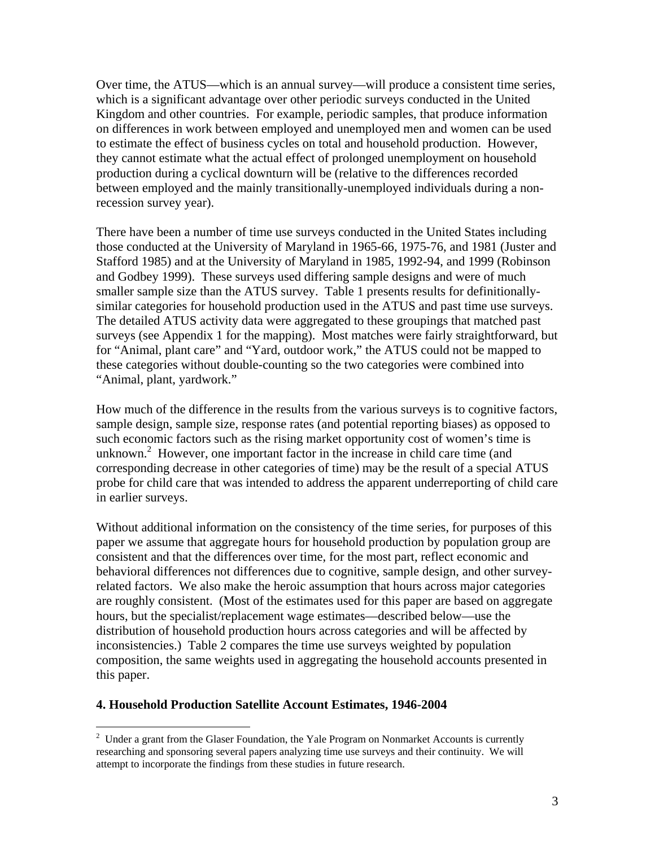Over time, the ATUS—which is an annual survey—will produce a consistent time series, which is a significant advantage over other periodic surveys conducted in the United Kingdom and other countries. For example, periodic samples, that produce information on differences in work between employed and unemployed men and women can be used to estimate the effect of business cycles on total and household production. However, they cannot estimate what the actual effect of prolonged unemployment on household production during a cyclical downturn will be (relative to the differences recorded between employed and the mainly transitionally-unemployed individuals during a nonrecession survey year).

There have been a number of time use surveys conducted in the United States including those conducted at the University of Maryland in 1965-66, 1975-76, and 1981 (Juster and Stafford 1985) and at the University of Maryland in 1985, 1992-94, and 1999 (Robinson and Godbey 1999). These surveys used differing sample designs and were of much smaller sample size than the ATUS survey. Table 1 presents results for definitionallysimilar categories for household production used in the ATUS and past time use surveys. The detailed ATUS activity data were aggregated to these groupings that matched past surveys (see Appendix 1 for the mapping). Most matches were fairly straightforward, but for "Animal, plant care" and "Yard, outdoor work," the ATUS could not be mapped to these categories without double-counting so the two categories were combined into "Animal, plant, yardwork."

How much of the difference in the results from the various surveys is to cognitive factors, sample design, sample size, response rates (and potential reporting biases) as opposed to such economic factors such as the rising market opportunity cost of women's time is unknown.<sup>2</sup> However, one important factor in the increase in child care time (and corresponding decrease in other categories of time) may be the result of a special ATUS probe for child care that was intended to address the apparent underreporting of child care in earlier surveys.

Without additional information on the consistency of the time series, for purposes of this paper we assume that aggregate hours for household production by population group are consistent and that the differences over time, for the most part, reflect economic and behavioral differences not differences due to cognitive, sample design, and other surveyrelated factors. We also make the heroic assumption that hours across major categories are roughly consistent. (Most of the estimates used for this paper are based on aggregate hours, but the specialist/replacement wage estimates—described below—use the distribution of household production hours across categories and will be affected by inconsistencies.) Table 2 compares the time use surveys weighted by population composition, the same weights used in aggregating the household accounts presented in this paper.

### **4. Household Production Satellite Account Estimates, 1946-2004**

 $\overline{a}$ 

 $2$  Under a grant from the Glaser Foundation, the Yale Program on Nonmarket Accounts is currently researching and sponsoring several papers analyzing time use surveys and their continuity. We will attempt to incorporate the findings from these studies in future research.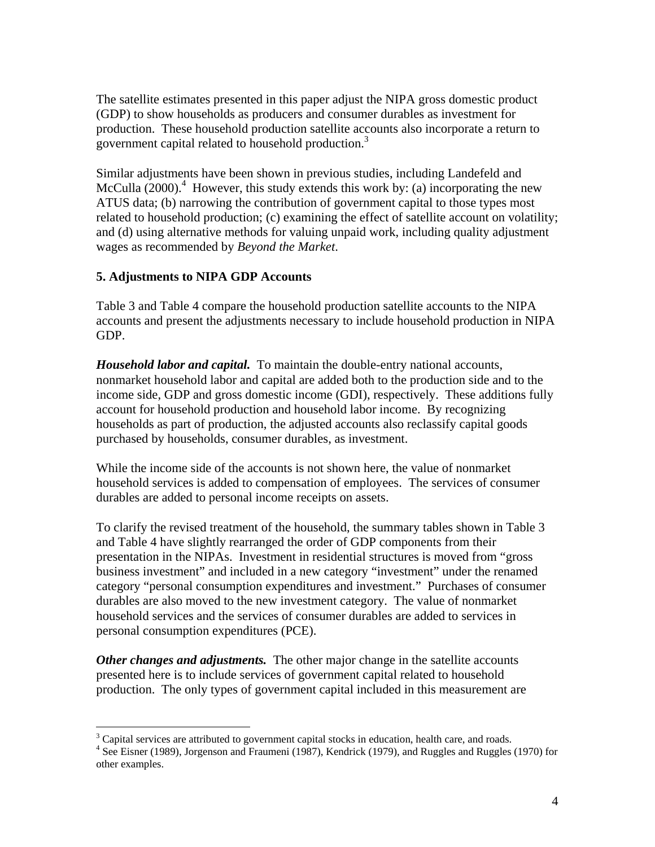The satellite estimates presented in this paper adjust the NIPA gross domestic product (GDP) to show households as producers and consumer durables as investment for production. These household production satellite accounts also incorporate a return to government capital related to household production.<sup>3</sup>

Similar adjustments have been shown in previous studies, including Landefeld and McCulla  $(2000)$ .<sup>4</sup> However, this study extends this work by: (a) incorporating the new ATUS data; (b) narrowing the contribution of government capital to those types most related to household production; (c) examining the effect of satellite account on volatility; and (d) using alternative methods for valuing unpaid work, including quality adjustment wages as recommended by *Beyond the Market*.

## **5. Adjustments to NIPA GDP Accounts**

Table 3 and Table 4 compare the household production satellite accounts to the NIPA accounts and present the adjustments necessary to include household production in NIPA GDP.

*Household labor and capital.* To maintain the double-entry national accounts, nonmarket household labor and capital are added both to the production side and to the income side, GDP and gross domestic income (GDI), respectively. These additions fully account for household production and household labor income. By recognizing households as part of production, the adjusted accounts also reclassify capital goods purchased by households, consumer durables, as investment.

While the income side of the accounts is not shown here, the value of nonmarket household services is added to compensation of employees. The services of consumer durables are added to personal income receipts on assets.

To clarify the revised treatment of the household, the summary tables shown in Table 3 and Table 4 have slightly rearranged the order of GDP components from their presentation in the NIPAs. Investment in residential structures is moved from "gross business investment" and included in a new category "investment" under the renamed category "personal consumption expenditures and investment." Purchases of consumer durables are also moved to the new investment category. The value of nonmarket household services and the services of consumer durables are added to services in personal consumption expenditures (PCE).

*Other changes and adjustments.* The other major change in the satellite accounts presented here is to include services of government capital related to household production. The only types of government capital included in this measurement are

 $\overline{a}$ <sup>3</sup> Capital services are attributed to government capital stocks in education, health care, and roads.<br><sup>4</sup> See Eigner (1080), Jorganson and Fraumani (1087), Kandrigk (1070), and Buggles and Buggles.

<sup>&</sup>lt;sup>4</sup> See Eisner (1989), Jorgenson and Fraumeni (1987), Kendrick (1979), and Ruggles and Ruggles (1970) for other examples.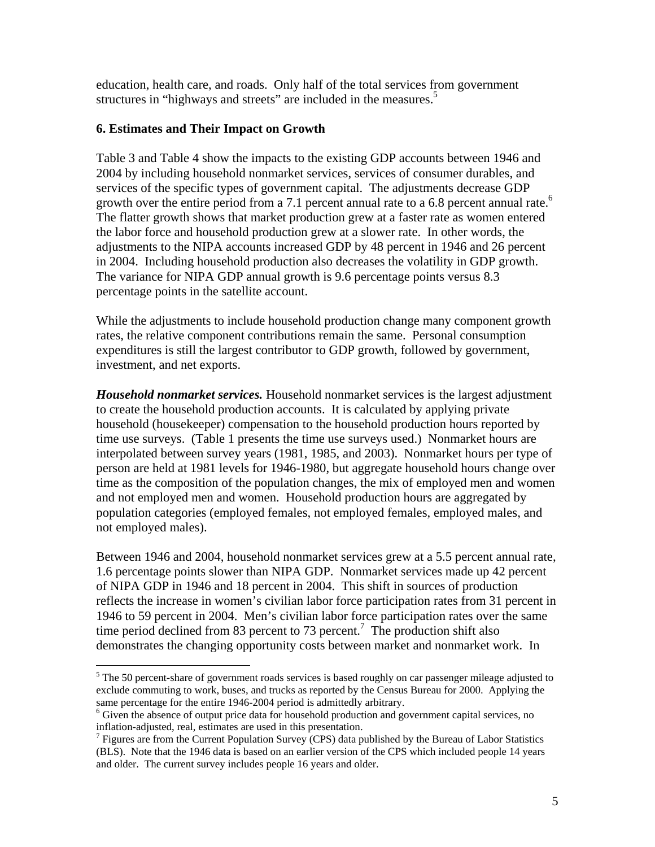education, health care, and roads. Only half of the total services from government structures in "highways and streets" are included in the measures.<sup>5</sup>

### **6. Estimates and Their Impact on Growth**

1

Table 3 and Table 4 show the impacts to the existing GDP accounts between 1946 and 2004 by including household nonmarket services, services of consumer durables, and services of the specific types of government capital. The adjustments decrease GDP growth over the entire period from a 7.1 percent annual rate to a 6.8 percent annual rate.<sup>6</sup> The flatter growth shows that market production grew at a faster rate as women entered the labor force and household production grew at a slower rate. In other words, the adjustments to the NIPA accounts increased GDP by 48 percent in 1946 and 26 percent in 2004. Including household production also decreases the volatility in GDP growth. The variance for NIPA GDP annual growth is 9.6 percentage points versus 8.3 percentage points in the satellite account.

While the adjustments to include household production change many component growth rates, the relative component contributions remain the same. Personal consumption expenditures is still the largest contributor to GDP growth, followed by government, investment, and net exports.

*Household nonmarket services.* Household nonmarket services is the largest adjustment to create the household production accounts. It is calculated by applying private household (housekeeper) compensation to the household production hours reported by time use surveys. (Table 1 presents the time use surveys used.) Nonmarket hours are interpolated between survey years (1981, 1985, and 2003). Nonmarket hours per type of person are held at 1981 levels for 1946-1980, but aggregate household hours change over time as the composition of the population changes, the mix of employed men and women and not employed men and women. Household production hours are aggregated by population categories (employed females, not employed females, employed males, and not employed males).

Between 1946 and 2004, household nonmarket services grew at a 5.5 percent annual rate, 1.6 percentage points slower than NIPA GDP. Nonmarket services made up 42 percent of NIPA GDP in 1946 and 18 percent in 2004. This shift in sources of production reflects the increase in women's civilian labor force participation rates from 31 percent in 1946 to 59 percent in 2004. Men's civilian labor force participation rates over the same time period declined from 83 percent to 73 percent.<sup>7</sup> The production shift also demonstrates the changing opportunity costs between market and nonmarket work. In

<sup>&</sup>lt;sup>5</sup> The 50 percent-share of government roads services is based roughly on car passenger mileage adjusted to exclude commuting to work, buses, and trucks as reported by the Census Bureau for 2000. Applying the same percentage for the entire 1946-2004 period is admittedly arbitrary.

<sup>&</sup>lt;sup>6</sup> Given the absence of output price data for household production and government capital services, no inflation-adjusted, real, estimates are used in this presentation. 7

 $\frac{7}{1}$  Figures are from the Current Population Survey (CPS) data published by the Bureau of Labor Statistics (BLS). Note that the 1946 data is based on an earlier version of the CPS which included people 14 years and older. The current survey includes people 16 years and older.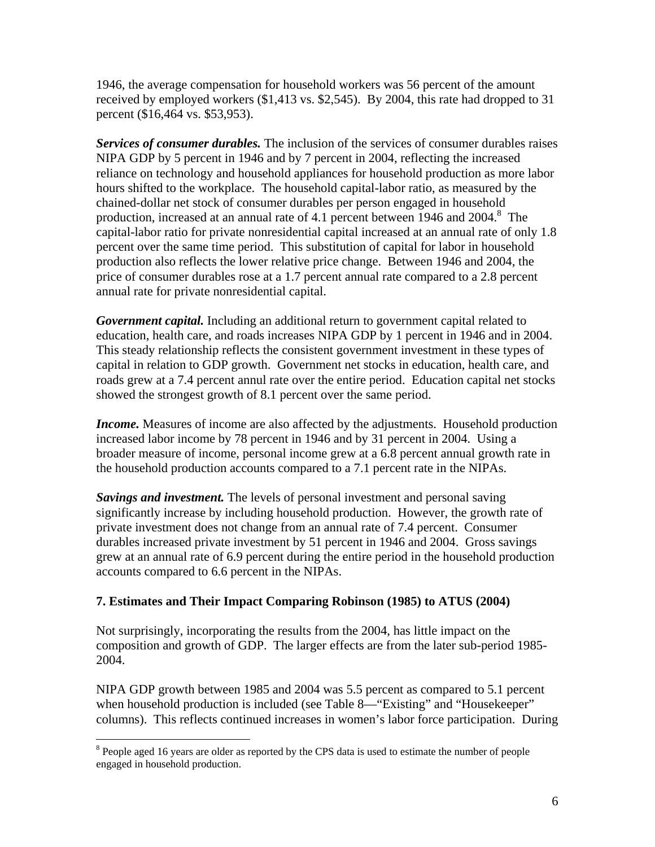1946, the average compensation for household workers was 56 percent of the amount received by employed workers (\$1,413 vs. \$2,545). By 2004, this rate had dropped to 31 percent (\$16,464 vs. \$53,953).

*Services of consumer durables.* The inclusion of the services of consumer durables raises NIPA GDP by 5 percent in 1946 and by 7 percent in 2004, reflecting the increased reliance on technology and household appliances for household production as more labor hours shifted to the workplace. The household capital-labor ratio, as measured by the chained-dollar net stock of consumer durables per person engaged in household production, increased at an annual rate of 4.1 percent between 1946 and  $2004$ .<sup>8</sup> The capital-labor ratio for private nonresidential capital increased at an annual rate of only 1.8 percent over the same time period. This substitution of capital for labor in household production also reflects the lower relative price change. Between 1946 and 2004, the price of consumer durables rose at a 1.7 percent annual rate compared to a 2.8 percent annual rate for private nonresidential capital.

*Government capital.* Including an additional return to government capital related to education, health care, and roads increases NIPA GDP by 1 percent in 1946 and in 2004. This steady relationship reflects the consistent government investment in these types of capital in relation to GDP growth. Government net stocks in education, health care, and roads grew at a 7.4 percent annul rate over the entire period. Education capital net stocks showed the strongest growth of 8.1 percent over the same period.

*Income*. Measures of income are also affected by the adjustments. Household production increased labor income by 78 percent in 1946 and by 31 percent in 2004. Using a broader measure of income, personal income grew at a 6.8 percent annual growth rate in the household production accounts compared to a 7.1 percent rate in the NIPAs.

*Savings and investment.* The levels of personal investment and personal saving significantly increase by including household production. However, the growth rate of private investment does not change from an annual rate of 7.4 percent. Consumer durables increased private investment by 51 percent in 1946 and 2004. Gross savings grew at an annual rate of 6.9 percent during the entire period in the household production accounts compared to 6.6 percent in the NIPAs.

## **7. Estimates and Their Impact Comparing Robinson (1985) to ATUS (2004)**

Not surprisingly, incorporating the results from the 2004, has little impact on the composition and growth of GDP. The larger effects are from the later sub-period 1985- 2004.

NIPA GDP growth between 1985 and 2004 was 5.5 percent as compared to 5.1 percent when household production is included (see Table 8—"Existing" and "Housekeeper" columns). This reflects continued increases in women's labor force participation. During

 $\overline{a}$ 

<sup>&</sup>lt;sup>8</sup> People aged 16 years are older as reported by the CPS data is used to estimate the number of people engaged in household production.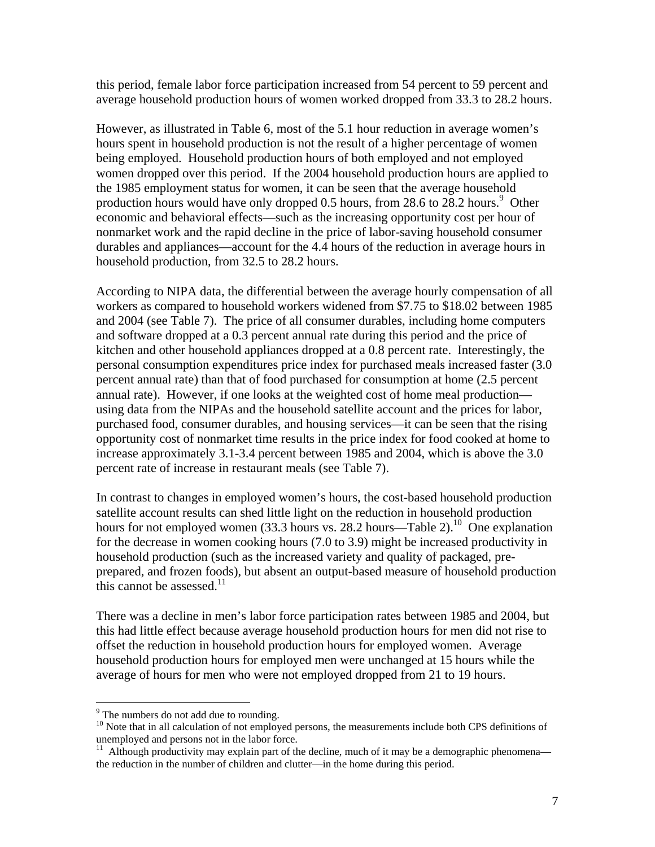this period, female labor force participation increased from 54 percent to 59 percent and average household production hours of women worked dropped from 33.3 to 28.2 hours.

However, as illustrated in Table 6, most of the 5.1 hour reduction in average women's hours spent in household production is not the result of a higher percentage of women being employed. Household production hours of both employed and not employed women dropped over this period. If the 2004 household production hours are applied to the 1985 employment status for women, it can be seen that the average household production hours would have only dropped 0.5 hours, from 28.6 to  $28.2$  hours.<sup>9</sup> Other economic and behavioral effects—such as the increasing opportunity cost per hour of nonmarket work and the rapid decline in the price of labor-saving household consumer durables and appliances—account for the 4.4 hours of the reduction in average hours in household production, from 32.5 to 28.2 hours.

According to NIPA data, the differential between the average hourly compensation of all workers as compared to household workers widened from \$7.75 to \$18.02 between 1985 and 2004 (see Table 7). The price of all consumer durables, including home computers and software dropped at a 0.3 percent annual rate during this period and the price of kitchen and other household appliances dropped at a 0.8 percent rate. Interestingly, the personal consumption expenditures price index for purchased meals increased faster (3.0 percent annual rate) than that of food purchased for consumption at home (2.5 percent annual rate). However, if one looks at the weighted cost of home meal production using data from the NIPAs and the household satellite account and the prices for labor, purchased food, consumer durables, and housing services—it can be seen that the rising opportunity cost of nonmarket time results in the price index for food cooked at home to increase approximately 3.1-3.4 percent between 1985 and 2004, which is above the 3.0 percent rate of increase in restaurant meals (see Table 7).

In contrast to changes in employed women's hours, the cost-based household production satellite account results can shed little light on the reduction in household production hours for not employed women  $(33.3 \text{ hours} \text{ vs. } 28.2 \text{ hours} - \text{Table 2}).$ <sup>10</sup> One explanation for the decrease in women cooking hours (7.0 to 3.9) might be increased productivity in household production (such as the increased variety and quality of packaged, preprepared, and frozen foods), but absent an output-based measure of household production this cannot be assessed. $11$ 

There was a decline in men's labor force participation rates between 1985 and 2004, but this had little effect because average household production hours for men did not rise to offset the reduction in household production hours for employed women. Average household production hours for employed men were unchanged at 15 hours while the average of hours for men who were not employed dropped from 21 to 19 hours.

 $\overline{a}$ 

<sup>&</sup>lt;sup>9</sup> The numbers do not add due to rounding.

<sup>&</sup>lt;sup>10</sup> Note that in all calculation of not employed persons, the measurements include both CPS definitions of unemployed and persons not in the labor force.

 $11$  Although productivity may explain part of the decline, much of it may be a demographic phenomena the reduction in the number of children and clutter—in the home during this period.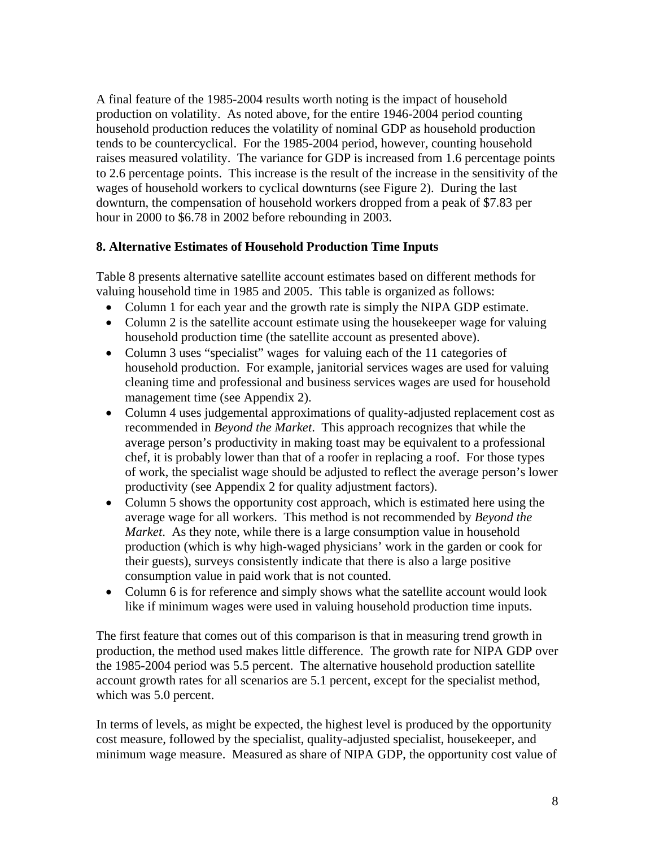A final feature of the 1985-2004 results worth noting is the impact of household production on volatility. As noted above, for the entire 1946-2004 period counting household production reduces the volatility of nominal GDP as household production tends to be countercyclical. For the 1985-2004 period, however, counting household raises measured volatility. The variance for GDP is increased from 1.6 percentage points to 2.6 percentage points. This increase is the result of the increase in the sensitivity of the wages of household workers to cyclical downturns (see Figure 2). During the last downturn, the compensation of household workers dropped from a peak of \$7.83 per hour in 2000 to \$6.78 in 2002 before rebounding in 2003.

# **8. Alternative Estimates of Household Production Time Inputs**

Table 8 presents alternative satellite account estimates based on different methods for valuing household time in 1985 and 2005. This table is organized as follows:

- Column 1 for each year and the growth rate is simply the NIPA GDP estimate.
- Column 2 is the satellite account estimate using the house keeper wage for valuing household production time (the satellite account as presented above).
- Column 3 uses "specialist" wages for valuing each of the 11 categories of household production. For example, janitorial services wages are used for valuing cleaning time and professional and business services wages are used for household management time (see Appendix 2).
- Column 4 uses judgemental approximations of quality-adjusted replacement cost as recommended in *Beyond the Market*. This approach recognizes that while the average person's productivity in making toast may be equivalent to a professional chef, it is probably lower than that of a roofer in replacing a roof. For those types of work, the specialist wage should be adjusted to reflect the average person's lower productivity (see Appendix 2 for quality adjustment factors).
- Column 5 shows the opportunity cost approach, which is estimated here using the average wage for all workers. This method is not recommended by *Beyond the Market*. As they note, while there is a large consumption value in household production (which is why high-waged physicians' work in the garden or cook for their guests), surveys consistently indicate that there is also a large positive consumption value in paid work that is not counted.
- Column 6 is for reference and simply shows what the satellite account would look like if minimum wages were used in valuing household production time inputs.

The first feature that comes out of this comparison is that in measuring trend growth in production, the method used makes little difference. The growth rate for NIPA GDP over the 1985-2004 period was 5.5 percent. The alternative household production satellite account growth rates for all scenarios are 5.1 percent, except for the specialist method, which was 5.0 percent.

In terms of levels, as might be expected, the highest level is produced by the opportunity cost measure, followed by the specialist, quality-adjusted specialist, housekeeper, and minimum wage measure. Measured as share of NIPA GDP, the opportunity cost value of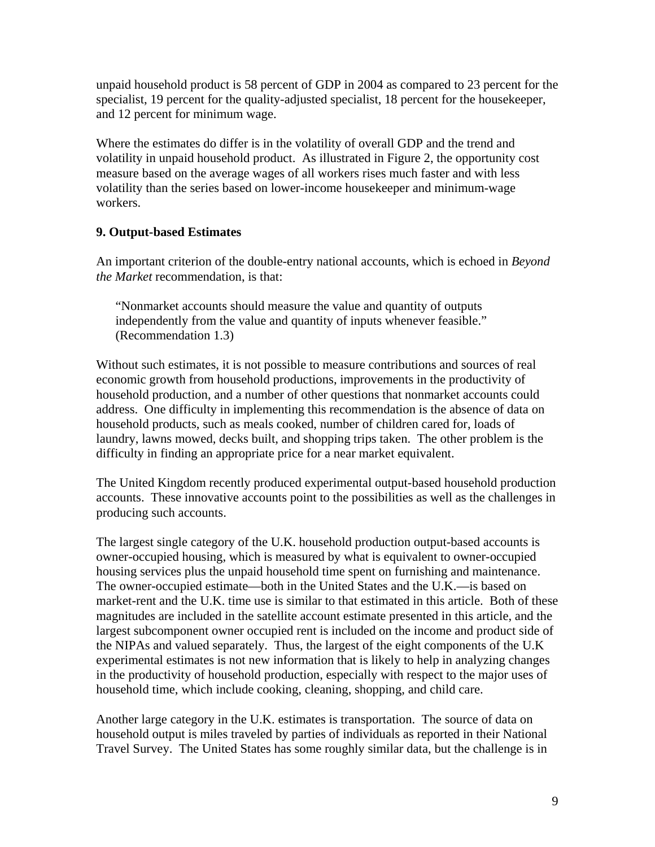unpaid household product is 58 percent of GDP in 2004 as compared to 23 percent for the specialist, 19 percent for the quality-adjusted specialist, 18 percent for the housekeeper, and 12 percent for minimum wage.

Where the estimates do differ is in the volatility of overall GDP and the trend and volatility in unpaid household product. As illustrated in Figure 2, the opportunity cost measure based on the average wages of all workers rises much faster and with less volatility than the series based on lower-income housekeeper and minimum-wage workers.

## **9. Output-based Estimates**

An important criterion of the double-entry national accounts, which is echoed in *Beyond the Market* recommendation, is that:

"Nonmarket accounts should measure the value and quantity of outputs independently from the value and quantity of inputs whenever feasible." (Recommendation 1.3)

Without such estimates, it is not possible to measure contributions and sources of real economic growth from household productions, improvements in the productivity of household production, and a number of other questions that nonmarket accounts could address. One difficulty in implementing this recommendation is the absence of data on household products, such as meals cooked, number of children cared for, loads of laundry, lawns mowed, decks built, and shopping trips taken. The other problem is the difficulty in finding an appropriate price for a near market equivalent.

The United Kingdom recently produced experimental output-based household production accounts. These innovative accounts point to the possibilities as well as the challenges in producing such accounts.

The largest single category of the U.K. household production output-based accounts is owner-occupied housing, which is measured by what is equivalent to owner-occupied housing services plus the unpaid household time spent on furnishing and maintenance. The owner-occupied estimate—both in the United States and the U.K.—is based on market-rent and the U.K. time use is similar to that estimated in this article. Both of these magnitudes are included in the satellite account estimate presented in this article, and the largest subcomponent owner occupied rent is included on the income and product side of the NIPAs and valued separately. Thus, the largest of the eight components of the U.K experimental estimates is not new information that is likely to help in analyzing changes in the productivity of household production, especially with respect to the major uses of household time, which include cooking, cleaning, shopping, and child care.

Another large category in the U.K. estimates is transportation. The source of data on household output is miles traveled by parties of individuals as reported in their National Travel Survey. The United States has some roughly similar data, but the challenge is in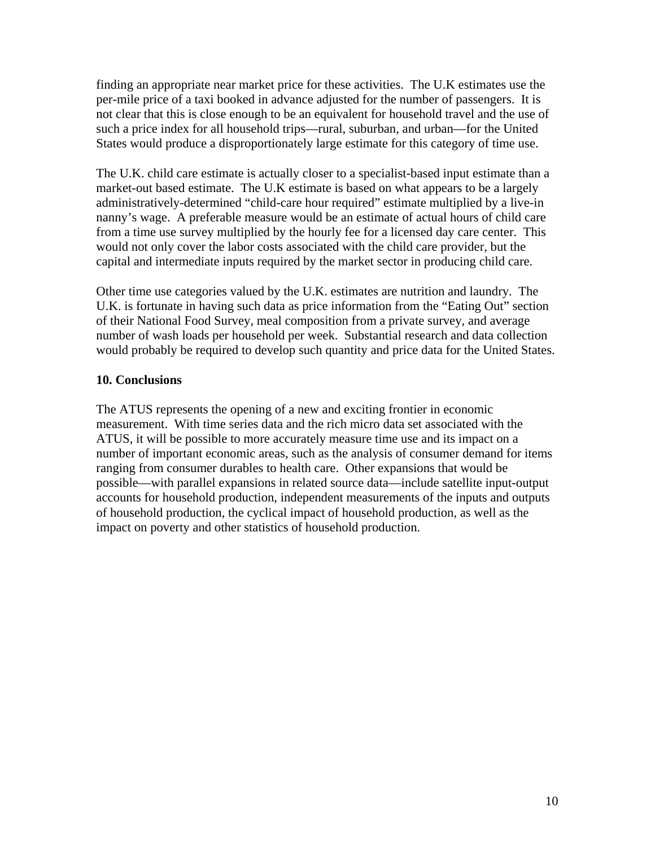finding an appropriate near market price for these activities. The U.K estimates use the per-mile price of a taxi booked in advance adjusted for the number of passengers. It is not clear that this is close enough to be an equivalent for household travel and the use of such a price index for all household trips—rural, suburban, and urban—for the United States would produce a disproportionately large estimate for this category of time use.

The U.K. child care estimate is actually closer to a specialist-based input estimate than a market-out based estimate. The U.K estimate is based on what appears to be a largely administratively-determined "child-care hour required" estimate multiplied by a live-in nanny's wage. A preferable measure would be an estimate of actual hours of child care from a time use survey multiplied by the hourly fee for a licensed day care center. This would not only cover the labor costs associated with the child care provider, but the capital and intermediate inputs required by the market sector in producing child care.

Other time use categories valued by the U.K. estimates are nutrition and laundry. The U.K. is fortunate in having such data as price information from the "Eating Out" section of their National Food Survey, meal composition from a private survey, and average number of wash loads per household per week. Substantial research and data collection would probably be required to develop such quantity and price data for the United States.

### **10. Conclusions**

The ATUS represents the opening of a new and exciting frontier in economic measurement. With time series data and the rich micro data set associated with the ATUS, it will be possible to more accurately measure time use and its impact on a number of important economic areas, such as the analysis of consumer demand for items ranging from consumer durables to health care. Other expansions that would be possible—with parallel expansions in related source data—include satellite input-output accounts for household production, independent measurements of the inputs and outputs of household production, the cyclical impact of household production, as well as the impact on poverty and other statistics of household production.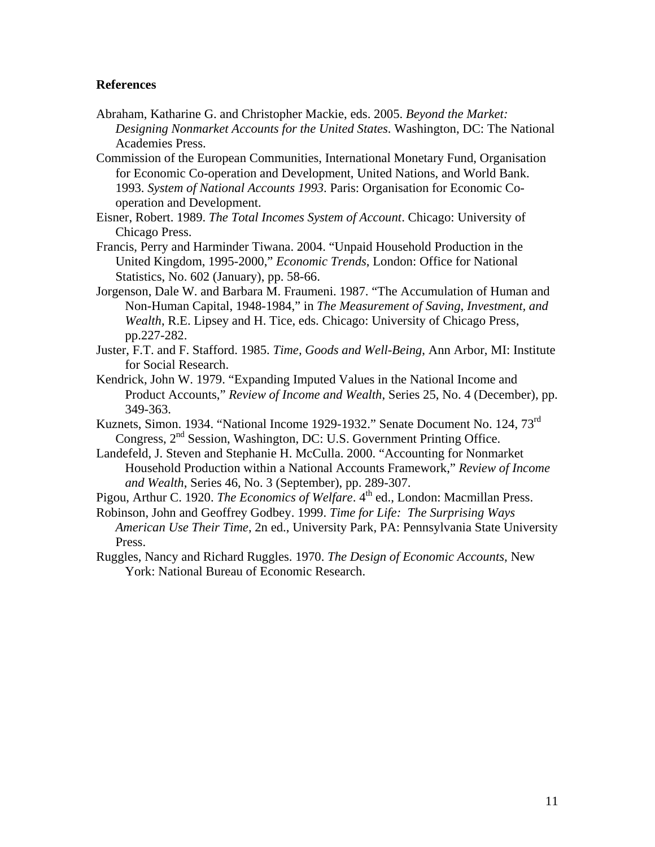#### **References**

- Abraham, Katharine G. and Christopher Mackie, eds. 2005. *Beyond the Market: Designing Nonmarket Accounts for the United States*. Washington, DC: The National Academies Press.
- Commission of the European Communities, International Monetary Fund, Organisation for Economic Co-operation and Development, United Nations, and World Bank. 1993. *System of National Accounts 1993*. Paris: Organisation for Economic Cooperation and Development.
- Eisner, Robert. 1989. *The Total Incomes System of Account*. Chicago: University of Chicago Press.
- Francis, Perry and Harminder Tiwana. 2004. "Unpaid Household Production in the United Kingdom, 1995-2000," *Economic Trends*, London: Office for National Statistics, No. 602 (January), pp. 58-66.
- Jorgenson, Dale W. and Barbara M. Fraumeni. 1987. "The Accumulation of Human and Non-Human Capital, 1948-1984," in *The Measurement of Saving, Investment, and Wealth*, R.E. Lipsey and H. Tice, eds. Chicago: University of Chicago Press, pp.227-282.
- Juster, F.T. and F. Stafford. 1985. *Time, Goods and Well-Being*, Ann Arbor, MI: Institute for Social Research.
- Kendrick, John W. 1979. "Expanding Imputed Values in the National Income and Product Accounts," *Review of Income and Wealth*, Series 25, No. 4 (December), pp. 349-363.
- Kuznets, Simon. 1934. "National Income 1929-1932." Senate Document No. 124, 73<sup>rd</sup> Congress, 2nd Session, Washington, DC: U.S. Government Printing Office.
- Landefeld, J. Steven and Stephanie H. McCulla. 2000. "Accounting for Nonmarket Household Production within a National Accounts Framework," *Review of Income and Wealth*, Series 46, No. 3 (September), pp. 289-307.
- Pigou, Arthur C. 1920. *The Economics of Welfare*. 4<sup>th</sup> ed., London: Macmillan Press.
- Robinson, John and Geoffrey Godbey. 1999. *Time for Life: The Surprising Ways American Use Their Time*, 2n ed., University Park, PA: Pennsylvania State University Press.
- Ruggles, Nancy and Richard Ruggles. 1970. *The Design of Economic Accounts*, New York: National Bureau of Economic Research.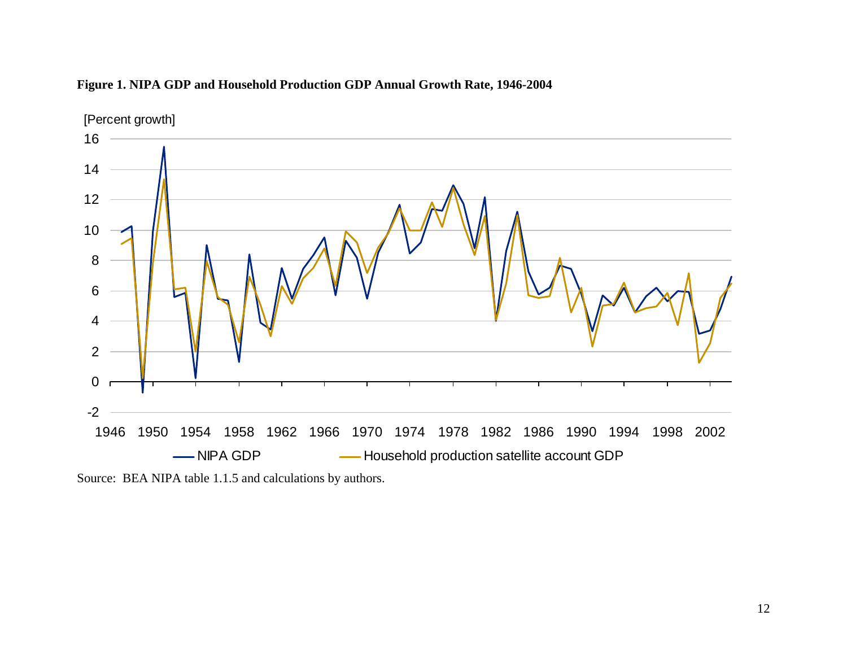

### **Figure 1. NIPA GDP and Household Production GDP Annual Growth Rate, 1946-2004**

Source: BEA NIPA table 1.1.5 and calculations by authors.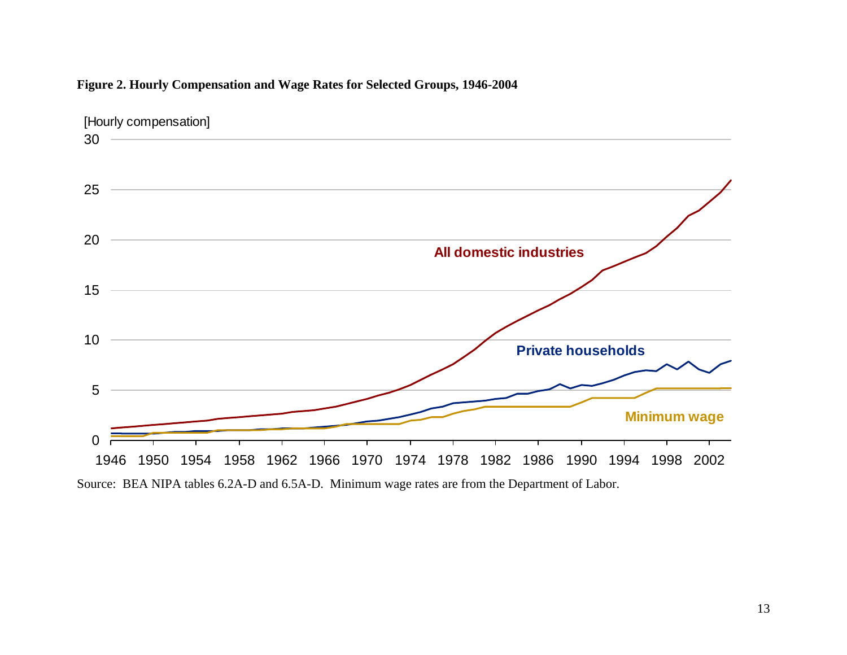

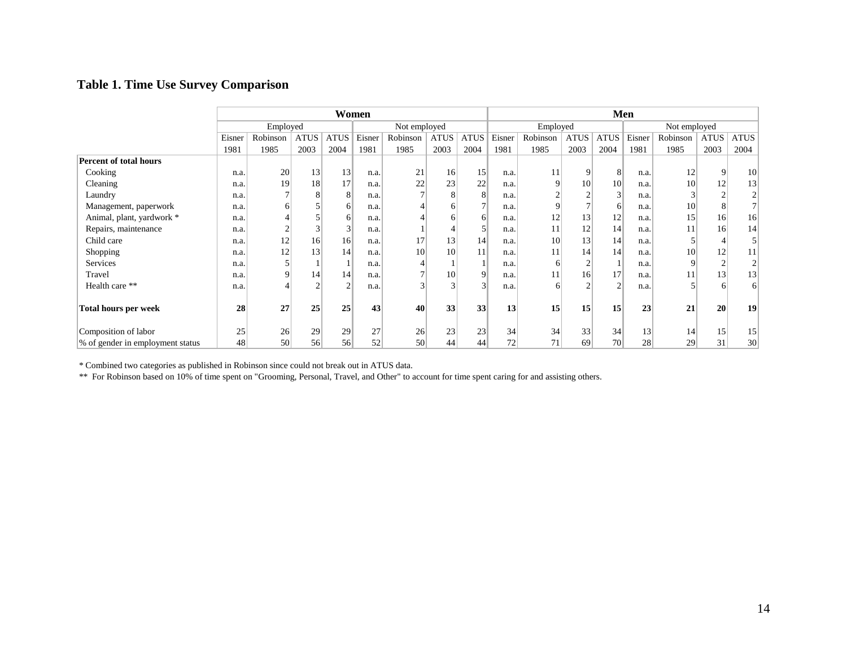# **Table 1. Time Use Survey Comparison**

|                                   |          | Women          |                |             |              |          |             |                 |                 |          | Men             |                 |              |          |             |                 |  |  |  |
|-----------------------------------|----------|----------------|----------------|-------------|--------------|----------|-------------|-----------------|-----------------|----------|-----------------|-----------------|--------------|----------|-------------|-----------------|--|--|--|
|                                   | Employed |                |                |             | Not employed |          |             |                 | Employed        |          |                 |                 | Not employed |          |             |                 |  |  |  |
|                                   | Eisner   | Robinson       | <b>ATUS</b>    | <b>ATUS</b> | Eisner       | Robinson | <b>ATUS</b> | <b>ATUS</b>     | Eisner          | Robinson | <b>ATUS</b>     | <b>ATUS</b>     | Eisner       | Robinson | <b>ATUS</b> | <b>ATUS</b>     |  |  |  |
|                                   | 1981     | 1985           | 2003           | 2004        | 1981         | 1985     | 2003        | 2004            | 1981            | 1985     | 2003            | 2004            | 1981         | 1985     | 2003        | 2004            |  |  |  |
| <b>Percent of total hours</b>     |          |                |                |             |              |          |             |                 |                 |          |                 |                 |              |          |             |                 |  |  |  |
| Cooking                           | n.a.     | 20             | 13             | 13          | n.a.         | 21       | 16          | 15              | n.a.            | 11       | 9               | 8               | n.a.         | 12       |             | 10 <sup>1</sup> |  |  |  |
| Cleaning                          | n.a.     | 19             | 18             | 17          | n.a.         | 22       | 23          | 22              | n.a.            | 9        | 10 <sup>1</sup> | 10              | n.a.         | 10       | 12          | 13              |  |  |  |
| Laundry                           | n.a.     |                | 8              | 8           | n.a.         |          | 8           | $\vert 8 \vert$ | n.a.            |          | $\overline{2}$  |                 | n.a.         |          |             | $\overline{ }$  |  |  |  |
| Management, paperwork             | n.a.     | 6              |                | 61          | n.a.         |          |             |                 | n.a.            | 9        |                 | 6               | n.a.         | 10       | Δ           | $7\vert$        |  |  |  |
| Animal, plant, yardwork *         | n.a.     |                |                |             | n.a          |          |             | 6               | n.a.            | 12       | 13              | 12 <sub>1</sub> | n.a.         | 15       | 16          | 16              |  |  |  |
| Repairs, maintenance              | n.a.     | $\overline{c}$ | 3              |             | n.a.         |          |             |                 | n.a.            | 11       | 12              | 14              | n.a.         | 11       | 16          | 14              |  |  |  |
| Child care                        | n.a.     | 12             | 16             | 16          | n.a.         | 17       | 13          | 14              | n.a.            | 10       | 13              | 14              | n.a.         |          |             |                 |  |  |  |
| Shopping                          | n.a.     | 12             | 13             | 14          | n.a.         | 10       | 10          | 11              | n.a.            | 11       | 14              | 14              | n.a.         | 10       | 12          | 11              |  |  |  |
| Services                          | n.a.     |                |                |             | n.a          |          |             |                 | n.a.            | 6        | $\overline{2}$  |                 | n.a.         | 9        |             | $\gamma$        |  |  |  |
| Travel                            | n.a.     | 9              | 14             | 14          | n.a.         |          | 10          | $\vert 9 \vert$ | n.a.            | 11       | 16 <sup>°</sup> | 17              | n.a.         |          | 13          | 13              |  |  |  |
| Health care **                    | n.a.     |                | $\overline{2}$ |             | n.a.         |          |             | 3               | n.a.            | 6        | $\overline{c}$  |                 | n.a.         |          |             | 6 <sup>1</sup>  |  |  |  |
|                                   |          |                |                |             |              |          |             |                 |                 |          |                 |                 |              |          |             |                 |  |  |  |
| <b>Total hours per week</b>       | 28       | 27             | 25             | 25          | 43           | 40       | 33          | 33 <sup>1</sup> | 13              | 15       | 15              | 15              | 23           | 21       | 20          | 19              |  |  |  |
|                                   |          |                |                |             |              |          |             |                 |                 |          |                 |                 |              |          |             |                 |  |  |  |
| Composition of labor              | 25       | 26             | 29             | 29          | 27           | 26       | 23          | 23              | 34              | 34       | 33              | 34              | 13           | 14       | 15          | 15              |  |  |  |
| \% of gender in employment status | 48       | 50             | 56             | 56          | 52           | 50       | 44          | 44              | 72 <sub>1</sub> | 71       | 69              | 70 <sup>1</sup> | 28           | 29       | 31          | 30 <sup>2</sup> |  |  |  |

\* Combined two categories as published in Robinson since could not break out in ATUS data.

\*\* For Robinson based on 10% of time spent on "Grooming, Personal, Travel, and Other" to account for time spent caring for and assisting others.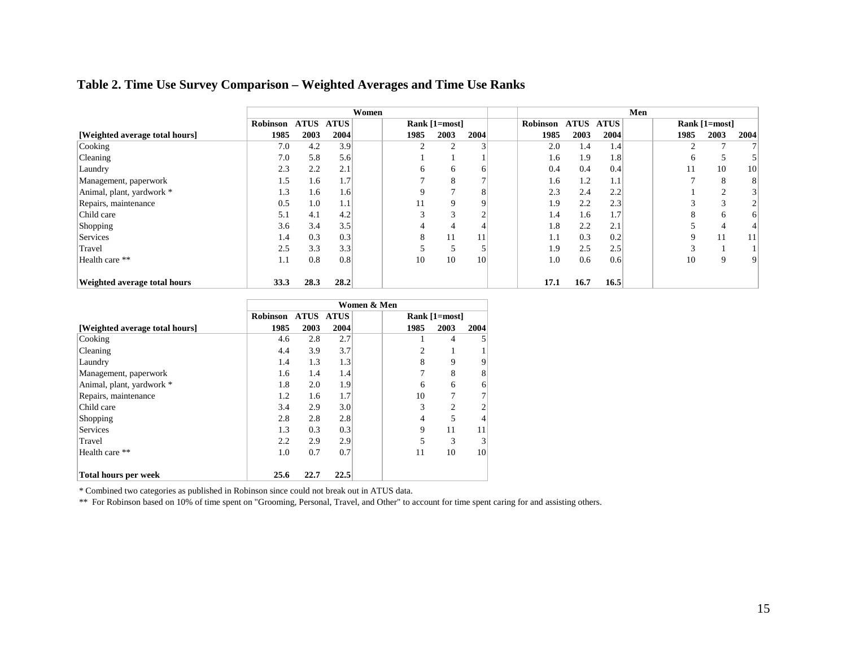# **Table 2. Time Use Survey Comparison – Weighted Averages and Time Use Ranks**

|                                |          |             |             | Women |      |               |      |          |             |             | Men |              |                        |      |
|--------------------------------|----------|-------------|-------------|-------|------|---------------|------|----------|-------------|-------------|-----|--------------|------------------------|------|
|                                | Robinson | <b>ATUS</b> | <b>ATUS</b> |       |      | Rank [1=most] |      | Robinson | <b>ATUS</b> | <b>ATUS</b> |     |              | Rank [1=most]          |      |
| [Weighted average total hours] | 1985     | 2003        | 2004        |       | 1985 | 2003          | 2004 | 1985     | 2003        | 2004        |     | 1985         | 2003                   | 2004 |
| Cooking                        | 7.0      | 4.2         | 3.9         |       |      |               | 3    | 2.0      | 1.4         | 1.4         |     |              |                        | 7    |
| <b>Cleaning</b>                | 7.0      | 5.8         | 5.6         |       |      |               |      | 1.6      | 1.9         | 1.8         |     | <sub>0</sub> | э                      |      |
| Laundry                        | 2.3      | 2.2         | 2.1         |       | 6.   | 6             | 6    | 0.4      | 0.4         | 0.4         |     |              | 10                     | 10   |
| Management, paperwork          | 1.5      | 1.6         | 1.7         |       |      | A             |      | 1.6      | 1.2         | $1.1\,$     |     |              | 8                      | 8    |
| Animal, plant, yardwork *      | 1.3      | 1.6         | 1.6         |       | 9    |               | 8    | 2.3      | 2.4         | 2.2         |     |              |                        | 3    |
| Repairs, maintenance           | 0.5      | 1.0         | 1.1         |       | 1 I  | 9             | 9    | 1.9      | 2.2         | 2.3         |     |              | $\sqrt{2}$<br>$\Delta$ | 2    |
| Child care                     | 5.1      | 4.1         | 4.2         |       | 3    |               | ◠    | 1.4      | 1.6         | 1.7'        |     |              | 6                      | 6    |
| Shopping                       | 3.6      | 3.4         | 3.5         |       |      |               | 4    | 1.8      | 2.2         | 2.1         |     |              |                        | 4    |
| Services                       | 1.4      | 0.3         | 0.3         |       | 8    | 11            | 11   | 1.1      | 0.3         | 0.2         |     |              | 11                     | 11   |
| Travel                         | 2.5      | 3.3         | 3.3         |       |      |               |      | 1.9      | 2.5         | 2.5         |     |              |                        |      |
| Health care **                 | 1.1      | 0.8         | 0.8         |       | 10   | 10            | 10   | 1.0      | 0.6         | 0.6         |     | 10           | 9                      | 9    |
|                                |          |             |             |       |      |               |      |          |             |             |     |              |                        |      |
| Weighted average total hours   | 33.3     | 28.3        | 28.2        |       |      |               |      | 17.1     | 16.7        | 16.5        |     |              |                        |      |

|                                | Women & Men        |      |      |  |                |                |      |  |  |  |
|--------------------------------|--------------------|------|------|--|----------------|----------------|------|--|--|--|
|                                | Robinson ATUS ATUS |      |      |  |                | Rank [1=most]  |      |  |  |  |
| [Weighted average total hours] | 1985               | 2003 | 2004 |  | 1985           | 2003           | 2004 |  |  |  |
| Cooking                        | 4.6                | 2.8  | 2.7  |  | 1              | 4              |      |  |  |  |
| Cleaning                       | 4.4                | 3.9  | 3.7  |  | 2              |                |      |  |  |  |
| Laundry                        | 1.4                | 1.3  | 1.3  |  | 8              | 9              | 9    |  |  |  |
| Management, paperwork          | 1.6                | 1.4  | 1.4  |  | 7              | 8              | 8    |  |  |  |
| Animal, plant, yardwork *      | 1.8                | 2.0  | 1.9  |  | 6              | 6              | 6    |  |  |  |
| Repairs, maintenance           | 1.2                | 1.6  | 1.7  |  | 10             | 7              | 7    |  |  |  |
| Child care                     | 3.4                | 2.9  | 3.0  |  | 3              | $\overline{2}$ | 2    |  |  |  |
| Shopping                       | 2.8                | 2.8  | 2.8  |  | $\overline{4}$ | 5              | 4    |  |  |  |
| <b>Services</b>                | 1.3                | 0.3  | 0.3  |  | 9              | 11             | 11   |  |  |  |
| Travel                         | 2.2                | 2.9  | 2.9  |  | 5              | 3              | 3    |  |  |  |
| Health care **                 | 1.0                | 0.7  | 0.7  |  | 11             | 10             | 10   |  |  |  |
|                                |                    |      |      |  |                |                |      |  |  |  |
| <b>Total hours per week</b>    | 25.6               | 22.7 | 22.5 |  |                |                |      |  |  |  |

\* Combined two categories as published in Robinson since could not break out in ATUS data.

\*\* For Robinson based on 10% of time spent on "Grooming, Personal, Travel, and Other" to account for time spent caring for and assisting others.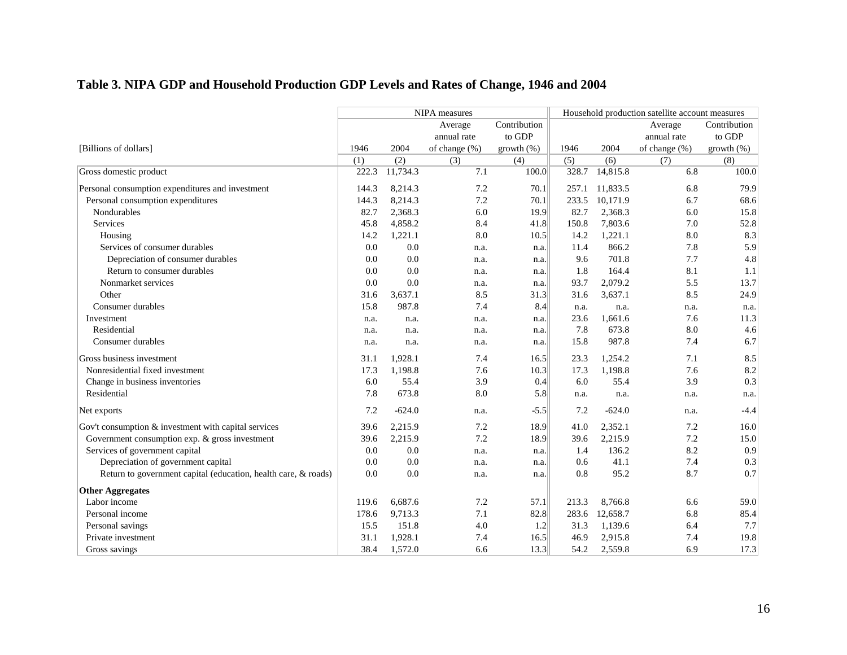# **Table 3. NIPA GDP and Household Production GDP Levels and Rates of Change, 1946 and 2004**

|                                                                |       |          | NIPA measures    |                                  | Household production satellite account measures |          |                  |              |  |  |
|----------------------------------------------------------------|-------|----------|------------------|----------------------------------|-------------------------------------------------|----------|------------------|--------------|--|--|
|                                                                |       |          | Average          | Contribution                     |                                                 |          | Average          | Contribution |  |  |
|                                                                |       |          | annual rate      | to GDP                           |                                                 |          | annual rate      | to GDP       |  |  |
| [Billions of dollars]                                          | 1946  | 2004     | of change $(\%)$ | growth (%)                       | 1946                                            | 2004     | of change $(\%)$ | growth (%)   |  |  |
|                                                                | (1)   | (2)      | (3)              | (4)                              | (5)                                             | (6)      | (7)              | (8)          |  |  |
| Gross domestic product                                         | 222.3 | 11,734.3 | 7.1              | 100.0                            | 328.7                                           | 14,815.8 | 6.8              | 100.0        |  |  |
| Personal consumption expenditures and investment               | 144.3 | 8,214.3  | 7.2              | 70.1                             | 257.1                                           | 11,833.5 | 6.8              | 79.9         |  |  |
| Personal consumption expenditures                              | 144.3 | 8,214.3  | 7.2              | 70.1                             | 233.5                                           | 10,171.9 | 6.7              | 68.6         |  |  |
| Nondurables                                                    | 82.7  | 2,368.3  | 6.0              | 19.9                             | 82.7                                            | 2,368.3  | 6.0              | 15.8         |  |  |
| <b>Services</b>                                                | 45.8  | 4,858.2  | 8.4              | 41.8                             | 150.8                                           | 7,803.6  | 7.0              | 52.8         |  |  |
| Housing                                                        | 14.2  | 1,221.1  | 8.0              | 10.5                             | 14.2                                            | 1,221.1  | 8.0              | 8.3          |  |  |
| Services of consumer durables                                  | 0.0   | 0.0      | n.a.             | n.a.                             | 11.4                                            | 866.2    | 7.8              | 5.9          |  |  |
| Depreciation of consumer durables                              | 0.0   | 0.0      | n.a.             | $\left\lceil \ln a \right\rceil$ | 9.6                                             | 701.8    | 7.7              | 4.8          |  |  |
| Return to consumer durables                                    | 0.0   | 0.0      | n.a.             | $\mathbf{n} \cdot \mathbf{a}$    | 1.8                                             | 164.4    | 8.1              | 1.1          |  |  |
| Nonmarket services                                             | 0.0   | 0.0      | n.a.             | n.a.                             | 93.7                                            | 2,079.2  | 5.5              | 13.7         |  |  |
| Other                                                          | 31.6  | 3,637.1  | 8.5              | 31.3                             | 31.6                                            | 3,637.1  | 8.5              | 24.9         |  |  |
| Consumer durables                                              | 15.8  | 987.8    | 7.4              | 8.4                              | n.a.                                            | n.a.     | n.a.             | n.a.         |  |  |
| Investment                                                     | n.a.  | n.a.     | n.a.             | n.a.                             | 23.6                                            | 1,661.6  | 7.6              | 11.3         |  |  |
| Residential                                                    | n.a.  | n.a.     | n.a.             | n.a.                             | 7.8                                             | 673.8    | 8.0              | 4.6          |  |  |
| Consumer durables                                              | n.a.  | n.a.     | n.a.             | n.a.                             | 15.8                                            | 987.8    | 7.4              | 6.7          |  |  |
| Gross business investment                                      | 31.1  | 1,928.1  | 7.4              | 16.5                             | 23.3                                            | 1,254.2  | 7.1              | 8.5          |  |  |
| Nonresidential fixed investment                                | 17.3  | 1,198.8  | 7.6              | 10.3                             | 17.3                                            | 1,198.8  | 7.6              | 8.2          |  |  |
| Change in business inventories                                 | 6.0   | 55.4     | 3.9              | 0.4                              | 6.0                                             | 55.4     | 3.9              | 0.3          |  |  |
| Residential                                                    | 7.8   | 673.8    | 8.0              | 5.8                              | n.a.                                            | n.a.     | n.a.             | n.a.         |  |  |
| Net exports                                                    | 7.2   | $-624.0$ | n.a.             | $-5.5$                           | 7.2                                             | $-624.0$ | n.a.             | $-4.4$       |  |  |
| Gov't consumption & investment with capital services           | 39.6  | 2,215.9  | 7.2              | 18.9                             | 41.0                                            | 2,352.1  | 7.2              | 16.0         |  |  |
| Government consumption exp. & gross investment                 | 39.6  | 2,215.9  | 7.2              | 18.9                             | 39.6                                            | 2,215.9  | 7.2              | 15.0         |  |  |
| Services of government capital                                 | 0.0   | 0.0      | n.a.             | n.a.                             | 1.4                                             | 136.2    | 8.2              | 0.9          |  |  |
| Depreciation of government capital                             | 0.0   | 0.0      | n.a.             | n.a.                             | 0.6                                             | 41.1     | 7.4              | 0.3          |  |  |
| Return to government capital (education, health care, & roads) | 0.0   | 0.0      | n.a.             | n.a.                             | 0.8                                             | 95.2     | 8.7              | 0.7          |  |  |
| <b>Other Aggregates</b>                                        |       |          |                  |                                  |                                                 |          |                  |              |  |  |
| Labor income                                                   | 119.6 | 6.687.6  | 7.2              | 57.1                             | 213.3                                           | 8,766.8  | 6.6              | 59.0         |  |  |
| Personal income                                                | 178.6 | 9,713.3  | 7.1              | 82.8                             | 283.6                                           | 12,658.7 | 6.8              | 85.4         |  |  |
| Personal savings                                               | 15.5  | 151.8    | 4.0              | 1.2                              | 31.3                                            | 1,139.6  | 6.4              | 7.7          |  |  |
| Private investment                                             | 31.1  | 1,928.1  | 7.4              | 16.5                             | 46.9                                            | 2,915.8  | 7.4              | 19.8         |  |  |
| Gross savings                                                  | 38.4  | 1,572.0  | 6.6              | 13.3                             | 54.2                                            | 2,559.8  | 6.9              | 17.3         |  |  |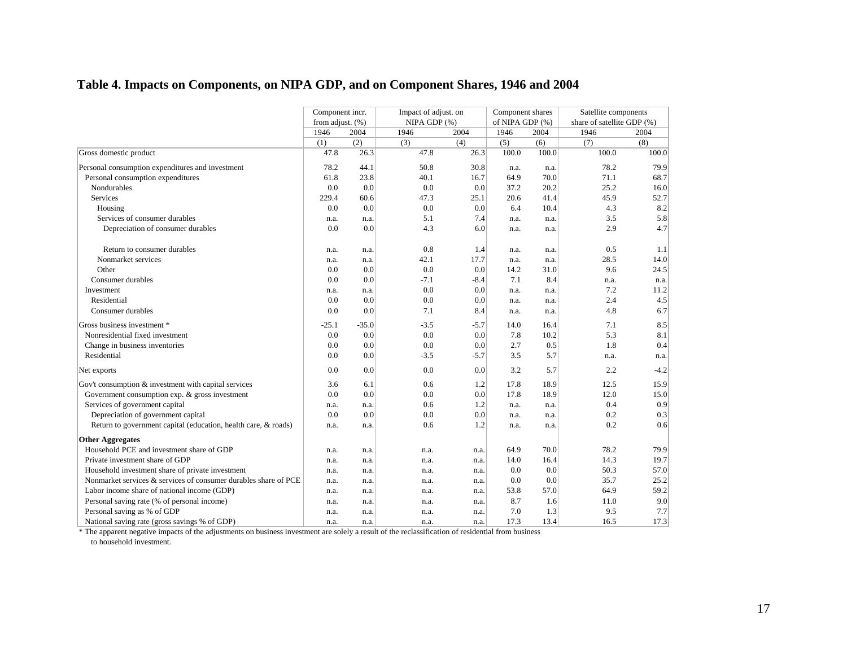# **Table 4. Impacts on Components, on NIPA GDP, and on Component Shares, 1946 and 2004**

|                                                                 | Component incr.  |         | Impact of adjust. on |                  | Component shares |       | Satellite components       |        |  |
|-----------------------------------------------------------------|------------------|---------|----------------------|------------------|------------------|-------|----------------------------|--------|--|
|                                                                 | from adjust. (%) |         | NIPA GDP (%)         |                  | of NIPA GDP (%)  |       | share of satellite GDP (%) |        |  |
|                                                                 | 1946             | 2004    | 1946                 | 2004             | 1946             | 2004  | 1946                       | 2004   |  |
|                                                                 | (1)              | (2)     | (3)                  | (4)              | (5)              | (6)   | (7)                        | (8)    |  |
| Gross domestic product                                          | 47.8             | 26.3    | 47.8                 | 26.3             | 100.0            | 100.0 | 100.0                      | 100.0  |  |
| Personal consumption expenditures and investment                | 78.2             | 44.1    | 50.8                 | 30.8             | n.a.             | n.a.  | 78.2                       | 79.9   |  |
| Personal consumption expenditures                               | 61.8             | 23.8    | 40.1                 | 16.7             | 64.9             | 70.0  | 71.1                       | 68.7   |  |
| Nondurables                                                     | 0.0              | 0.0     | 0.0                  | 0.0              | 37.2             | 20.2  | 25.2                       | 16.0   |  |
| Services                                                        | 229.4            | 60.6    | 47.3                 | 25.1             | 20.6             | 41.4  | 45.9                       | 52.7   |  |
| Housing                                                         | 0.0              | 0.0     | 0.0                  | 0.0              | 6.4              | 10.4  | 4.3                        | 8.2    |  |
| Services of consumer durables                                   | n.a.             | n.a.    | 5.1                  | 7.4              | n.a.             | n.a.  | 3.5                        | 5.8    |  |
| Depreciation of consumer durables                               | 0.0              | 0.0     | 4.3                  | 6.0              | n.a.             | n.a.  | 2.9                        | 4.7    |  |
| Return to consumer durables                                     | n.a.             | n.a.    | 0.8                  | 1.4              | n.a.             | n.a.  | 0.5                        | 1.1    |  |
| Nonmarket services                                              | n.a.             | n.a.    | 42.1                 | 17.7             | n.a.             | n.a.  | 28.5                       | 14.0   |  |
| Other                                                           | 0.0              | 0.0     | 0.0                  | 0.0              | 14.2             | 31.0  | 9.6                        | 24.5   |  |
| Consumer durables                                               | 0.0              | 0.0     | $-7.1$               | $-8.4$           | 7.1              | 8.4   | n.a.                       | n.a.   |  |
| Investment                                                      | n.a.             | n.a.    | 0.0                  | 0.0              | n.a.             | n.a.  | 7.2                        | 11.2   |  |
| Residential                                                     | 0.0              | 0.0     | 0.0                  | 0.0              | n.a.             | n.a.  | 2.4                        | 4.5    |  |
| Consumer durables                                               | 0.0              | 0.0     | 7.1                  | 8.4              | n.a.             | n.a.  | 4.8                        | 6.7    |  |
| Gross business investment *                                     | $-25.1$          | $-35.0$ | $-3.5$               | $-5.7$           | 14.0             | 16.4  | 7.1                        | 8.5    |  |
| Nonresidential fixed investment                                 | 0.0              | 0.0     | 0.0                  | 0.0              | 7.8              | 10.2  | 5.3                        | 8.1    |  |
| Change in business inventories                                  | 0.0              | 0.0     | 0.0                  | 0.0 <sub>1</sub> | 2.7              | 0.5   | 1.8                        | 0.4    |  |
| Residential                                                     | 0.0              | 0.0     | $-3.5$               | $-5.7$           | 3.5              | 5.7   | n.a.                       | n.a.   |  |
| Net exports                                                     | 0.0              | 0.0     | 0.0                  | 0.0              | 3.2              | 5.7   | 2.2                        | $-4.2$ |  |
| Gov't consumption & investment with capital services            | 3.6              | 6.1     | 0.6                  | 1.2              | 17.8             | 18.9  | 12.5                       | 15.9   |  |
| Government consumption $exp.$ & gross investment                | 0.0              | 0.0     | 0.0                  | 0.0              | 17.8             | 18.9  | 12.0                       | 15.0   |  |
| Services of government capital                                  | n.a.             | n.a.    | 0.6                  | 1.2              | n.a.             | n.a.  | 0.4                        | 0.9    |  |
| Depreciation of government capital                              | 0.0              | 0.0     | 0.0                  | 0.0              | n.a.             | n.a.  | 0.2                        | 0.3    |  |
| Return to government capital (education, health care, & roads)  | n.a.             | n.a.    | 0.6                  | 1.2              | n.a.             | n.a.  | 0.2                        | 0.6    |  |
| <b>Other Aggregates</b>                                         |                  |         |                      |                  |                  |       |                            |        |  |
| Household PCE and investment share of GDP                       | n.a.             | n.a.    | n.a.                 | n.a.             | 64.9             | 70.0  | 78.2                       | 79.9   |  |
| Private investment share of GDP                                 | n.a.             | n.a.    | n.a.                 | n.a.             | 14.0             | 16.4  | 14.3                       | 19.7   |  |
| Household investment share of private investment                | n.a.             | n.a.    | n.a.                 | n.a.             | 0.0              | 0.0   | 50.3                       | 57.0   |  |
| Nonmarket services & services of consumer durables share of PCE | n.a.             | n.a.    | n.a.                 | n.a.             | 0.0              | 0.0   | 35.7                       | 25.2   |  |
| Labor income share of national income (GDP)                     | n.a.             | n.a.    | n.a.                 | n.a.             | 53.8             | 57.0  | 64.9                       | 59.2   |  |
| Personal saving rate (% of personal income)                     | n.a.             | n.a.    | n.a.                 | n.a.             | 8.7              | 1.6   | 11.0                       | 9.0    |  |
| Personal saving as % of GDP                                     | n.a.             | n.a.    | n.a.                 | n.a.             | 7.0              | 1.3   | 9.5                        | 7.7    |  |
| National saving rate (gross savings % of GDP)                   | n.a.             | n.a.    | n.a.                 | n.a.             | 17.3             | 13.4  | 16.5                       | 17.3   |  |

\* The apparent negative impacts of the adjustments on business investment are solely a result of the reclassification of residential from business to household investment.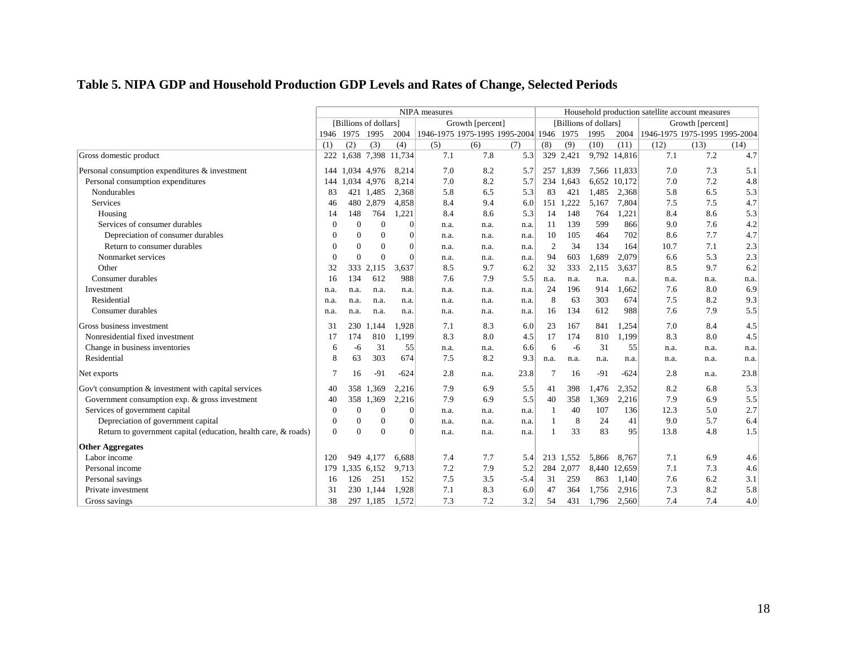# **Table 5. NIPA GDP and Household Production GDP Levels and Rates of Change, Selected Periods**

|                                                                | NIPA measures |           |                       |                |                                         |                  |        | Household production satellite account measures |           |                       |              |                               |                  |      |
|----------------------------------------------------------------|---------------|-----------|-----------------------|----------------|-----------------------------------------|------------------|--------|-------------------------------------------------|-----------|-----------------------|--------------|-------------------------------|------------------|------|
|                                                                |               |           | [Billions of dollars] |                |                                         | Growth [percent] |        |                                                 |           | [Billions of dollars] |              |                               | Growth [percent] |      |
|                                                                |               | 1946 1975 | 1995                  | 2004           | 1946-1975 1975-1995 1995-2004 1946 1975 |                  |        |                                                 |           | 1995                  | 2004         | 1946-1975 1975-1995 1995-2004 |                  |      |
|                                                                | (1)           | (2)       | (3)                   | (4)            | (5)                                     | (6)              | (7)    | (8)                                             | (9)       | (10)                  | (11)         | (12)                          | (13)             | (14) |
| Gross domestic product                                         | 222           | 1,638     |                       | 7,398 11,734   | 7.1                                     | 7.8              | 5.3    | 329                                             | 2,421     | 9,792                 | 14,816       | 7.1                           | 7.2              | 4.7  |
| Personal consumption expenditures & investment                 | 144           | 1.034     | 4,976                 | 8,214          | 7.0                                     | 8.2              | 5.7    |                                                 | 257 1.839 |                       | 7,566 11,833 | 7.0                           | 7.3              | 5.1  |
| Personal consumption expenditures                              | 144           | 1.034     | 4,976                 | 8,214          | 7.0                                     | 8.2              | 5.7    |                                                 | 234 1,643 |                       | 6,652 10,172 | 7.0                           | 7.2              | 4.8  |
| Nondurables                                                    | 83            | 421       | 1,485                 | 2,368          | 5.8                                     | 6.5              | 5.3    | 83                                              | 421       | 1,485                 | 2,368        | 5.8                           | 6.5              | 5.3  |
| Services                                                       | 46            | 480       | 2,879                 | 4,858          | 8.4                                     | 9.4              | 6.0    | 151 1                                           | ,222      | 5,167                 | 7,804        | 7.5                           | 7.5              | 4.7  |
| Housing                                                        | 14            | 148       | 764                   | 1,221          | 8.4                                     | 8.6              | 5.3    | 14                                              | 148       | 764                   | 1,221        | 8.4                           | 8.6              | 5.3  |
| Services of consumer durables                                  | $\Omega$      | $\theta$  | $\Omega$              | $\vert$ 0      | n.a.                                    | n.a.             | n.a.   | 11                                              | 139       | 599                   | 866          | 9.0                           | 7.6              | 4.2  |
| Depreciation of consumer durables                              | $\theta$      | $\Omega$  | $\Omega$              | $\overline{0}$ | n.a.                                    | n.a.             | n.a.   | 10                                              | 105       | 464                   | 702          | 8.6                           | 7.7              | 4.7  |
| Return to consumer durables                                    | $\Omega$      | $\Omega$  | $\Omega$              | $\Omega$       | n.a.                                    | n.a.             | n.a.   | $\overline{2}$                                  | 34        | 134                   | 164          | 10.7                          | 7.1              | 2.3  |
| Nonmarket services                                             | $\Omega$      | $\Omega$  | $\theta$              | $\Omega$       | n.a.                                    | n.a.             | n.a.   | 94                                              | 603       | 1,689                 | 2,079        | 6.6                           | 5.3              | 2.3  |
| Other                                                          | 32            | 333       | 2,115                 | 3,637          | 8.5                                     | 9.7              | 6.2    | 32                                              | 333       | 2,115                 | 3,637        | 8.5                           | 9.7              | 6.2  |
| Consumer durables                                              | 16            | 134       | 612                   | 988            | 7.6                                     | 7.9              | 5.5    | n.a.                                            | n.a.      | n.a.                  | n.a.         | n.a.                          | n.a.             | n.a. |
| Investment                                                     | n.a.          | n.a.      | n.a.                  | n.a.           | n.a.                                    | n.a.             | n.a.   | 24                                              | 196       | 914                   | 1.662        | 7.6                           | 8.0              | 6.9  |
| Residential                                                    | n.a.          | n.a.      | n.a.                  | n.a.           | n.a.                                    | n.a.             | n.a.   | 8                                               | 63        | 303                   | 674          | 7.5                           | 8.2              | 9.3  |
| Consumer durables                                              | n.a.          | n.a.      | n.a.                  | n.a.           | n.a.                                    | n.a.             | n.a.   | 16                                              | 134       | 612                   | 988          | 7.6                           | 7.9              | 5.5  |
| Gross business investment                                      | 31            | 230       | 1.144                 | 1.928          | 7.1                                     | 8.3              | 6.0    | 23                                              | 167       | 841                   | 1,254        | 7.0                           | 8.4              | 4.5  |
| Nonresidential fixed investment                                | 17            | 174       | 810                   | 1,199          | 8.3                                     | 8.0              | 4.5    | 17                                              | 174       | 810                   | 1,199        | 8.3                           | 8.0              | 4.5  |
| Change in business inventories                                 | 6             | -6        | 31                    | 55             | n.a.                                    | n.a.             | 6.6    | 6                                               | -6        | 31                    | 55           | n.a.                          | n.a.             | n.a. |
| Residential                                                    | 8             | 63        | 303                   | 674            | 7.5                                     | 8.2              | 9.3    | n.a.                                            | n.a.      | n.a.                  | n.a.         | n.a.                          | n.a.             | n.a. |
| Net exports                                                    | 7             | 16        | $-91$                 | $-624$         | 2.8                                     | n.a.             | 23.8   | 7                                               | 16        | $-91$                 | $-624$       | 2.8                           | n.a.             | 23.8 |
| Gov't consumption & investment with capital services           | 40            | 358       | 1.369                 | 2,216          | 7.9                                     | 6.9              | 5.5    | 41                                              | 398       | 1.476                 | 2,352        | 8.2                           | 6.8              | 5.3  |
| Government consumption $exp.$ & gross investment               | 40            | 358       | 1,369                 | 2,216          | 7.9                                     | 6.9              | 5.5    | 40                                              | 358       | 1,369                 | 2,216        | 7.9                           | 6.9              | 5.5  |
| Services of government capital                                 | $\Omega$      | $\Omega$  | $\overline{0}$        | $\vert$ 0      | n.a.                                    | n.a.             | n.a.   | $\overline{1}$                                  | 40        | 107                   | 136          | 12.3                          | 5.0              | 2.7  |
| Depreciation of government capital                             | $\mathbf{0}$  | $\Omega$  | $\boldsymbol{0}$      | $\mathbf{0}$   | n.a.                                    | n.a.             | n.a.   | $\overline{1}$                                  | 8         | 24                    | 41           | 9.0                           | 5.7              | 6.4  |
| Return to government capital (education, health care, & roads) | $\Omega$      | $\Omega$  | $\Omega$              | $\Omega$       | n.a.                                    | n.a.             | n.a.   | $\mathbf{1}$                                    | 33        | 83                    | 95           | 13.8                          | 4.8              | 1.5  |
| <b>Other Aggregates</b>                                        |               |           |                       |                |                                         |                  |        |                                                 |           |                       |              |                               |                  |      |
| Labor income                                                   | 120           | 949       | 4.177                 | 6,688          | 7.4                                     | 7.7              | 5.4    | 213                                             | 1.552     | 5,866                 | 8,767        | 7.1                           | 6.9              | 4.6  |
| Personal income                                                | 179           | .335      | 6.152                 | 9,713          | 7.2                                     | 7.9              | 5.2    | 284                                             | 2,077     | 8.440                 | 12,659       | 7.1                           | 7.3              | 4.6  |
| Personal savings                                               | 16            | 126       | 251                   | 152            | 7.5                                     | 3.5              | $-5.4$ | 31                                              | 259       | 863                   | 1,140        | 7.6                           | 6.2              | 3.1  |
| Private investment                                             | 31            | 230       | 1.144                 | 1.928          | 7.1                                     | 8.3              | 6.0    | 47                                              | 364       | 1,756                 | 2,916        | 7.3                           | 8.2              | 5.8  |
| Gross savings                                                  | 38            |           | 297 1,185             | 1,572          | 7.3                                     | 7.2              | 3.2    | 54                                              | 431       | 1,796                 | 2,560        | 7.4                           | 7.4              | 4.0  |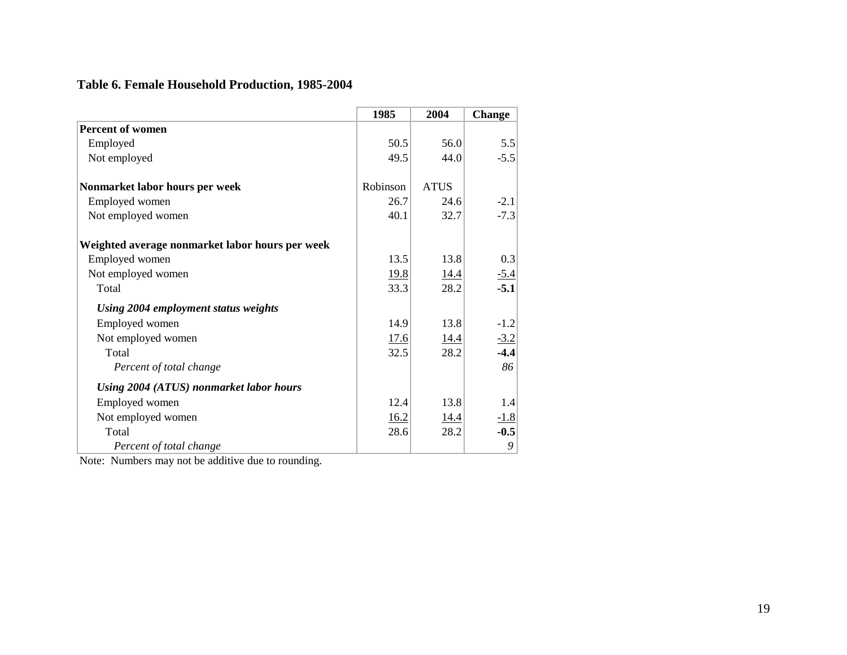# **Table 6. Female Household Production, 1985-2004**

|                                                 | 1985     | 2004        | <b>Change</b> |
|-------------------------------------------------|----------|-------------|---------------|
| Percent of women                                |          |             |               |
| Employed                                        | 50.5     | 56.0        | 5.5           |
| Not employed                                    | 49.5     | 44.0        | $-5.5$        |
| Nonmarket labor hours per week                  | Robinson | <b>ATUS</b> |               |
| Employed women                                  | 26.7     | 24.6        | $-2.1$        |
| Not employed women                              | 40.1     | 32.7        | $-7.3$        |
| Weighted average nonmarket labor hours per week |          |             |               |
| Employed women                                  | 13.5     | 13.8        | 0.3           |
| Not employed women                              | 19.8     | 14.4        | $-5.4$        |
| Total                                           | 33.3     | 28.2        | $-5.1$        |
| Using 2004 employment status weights            |          |             |               |
| Employed women                                  | 14.9     | 13.8        | $-1.2$        |
| Not employed women                              | 17.6     | 14.4        | $-3.2$        |
| Total                                           | 32.5     | 28.2        | $-4.4$        |
| Percent of total change                         |          |             | 86            |
| Using 2004 (ATUS) nonmarket labor hours         |          |             |               |
| Employed women                                  | 12.4     | 13.8        | 1.4           |
| Not employed women                              | 16.2     | 14.4        | $-1.8$        |
| Total                                           | 28.6     | 28.2        | $-0.5$        |
| Percent of total change                         |          |             | 9             |

Note: Numbers may not be additive due to rounding.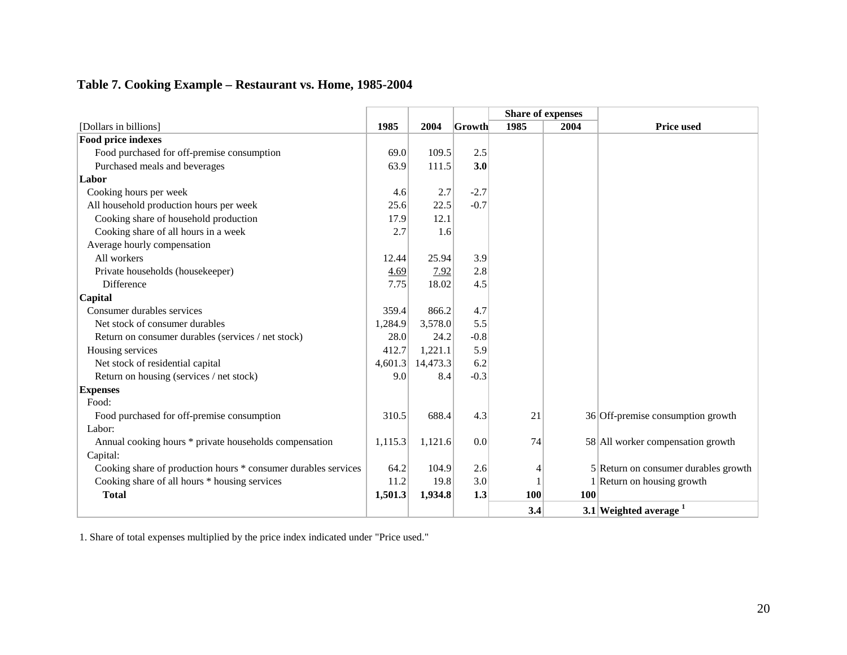# **Table 7. Cooking Example – Restaurant vs. Home, 1985-2004**

|                                                                |         |          |        |            | <b>Share of expenses</b> |                                      |
|----------------------------------------------------------------|---------|----------|--------|------------|--------------------------|--------------------------------------|
| [Dollars in billions]                                          | 1985    | 2004     | Growth | 1985       | 2004                     | <b>Price used</b>                    |
| <b>Food price indexes</b>                                      |         |          |        |            |                          |                                      |
| Food purchased for off-premise consumption                     | 69.0    | 109.5    | 2.5    |            |                          |                                      |
| Purchased meals and beverages                                  | 63.9    | 111.5    | 3.0    |            |                          |                                      |
| Labor                                                          |         |          |        |            |                          |                                      |
| Cooking hours per week                                         | 4.6     | 2.7      | $-2.7$ |            |                          |                                      |
| All household production hours per week                        | 25.6    | 22.5     | $-0.7$ |            |                          |                                      |
| Cooking share of household production                          | 17.9    | 12.1     |        |            |                          |                                      |
| Cooking share of all hours in a week                           | 2.7     | 1.6      |        |            |                          |                                      |
| Average hourly compensation                                    |         |          |        |            |                          |                                      |
| All workers                                                    | 12.44   | 25.94    | 3.9    |            |                          |                                      |
| Private households (housekeeper)                               | 4.69    | 7.92     | 2.8    |            |                          |                                      |
| <b>Difference</b>                                              | 7.75    | 18.02    | 4.5    |            |                          |                                      |
| Capital                                                        |         |          |        |            |                          |                                      |
| Consumer durables services                                     | 359.4   | 866.2    | 4.7    |            |                          |                                      |
| Net stock of consumer durables                                 | 1,284.9 | 3,578.0  | 5.5    |            |                          |                                      |
| Return on consumer durables (services / net stock)             | 28.0    | 24.2     | $-0.8$ |            |                          |                                      |
| Housing services                                               | 412.7   | 1,221.1  | 5.9    |            |                          |                                      |
| Net stock of residential capital                               | 4,601.3 | 14,473.3 | 6.2    |            |                          |                                      |
| Return on housing (services / net stock)                       | 9.0     | 8.4      | $-0.3$ |            |                          |                                      |
| <b>Expenses</b>                                                |         |          |        |            |                          |                                      |
| Food:                                                          |         |          |        |            |                          |                                      |
| Food purchased for off-premise consumption                     | 310.5   | 688.4    | 4.3    | 21         |                          | 36 Off-premise consumption growth    |
| Labor:                                                         |         |          |        |            |                          |                                      |
| Annual cooking hours * private households compensation         | 1,115.3 | 1,121.6  | 0.0    | 74         |                          | 58 All worker compensation growth    |
| Capital:                                                       |         |          |        |            |                          |                                      |
| Cooking share of production hours * consumer durables services | 64.2    | 104.9    | 2.6    | 4          |                          | 5 Return on consumer durables growth |
| Cooking share of all hours * housing services                  | 11.2    | 19.8     | 3.0    |            |                          | Return on housing growth             |
| <b>Total</b>                                                   | 1,501.3 | 1,934.8  | 1.3    | <b>100</b> | <b>100</b>               |                                      |
|                                                                |         |          |        | 3.4        |                          | 3.1 Weighted average $1$             |

1. Share of total expenses multiplied by the price index indicated under "Price used."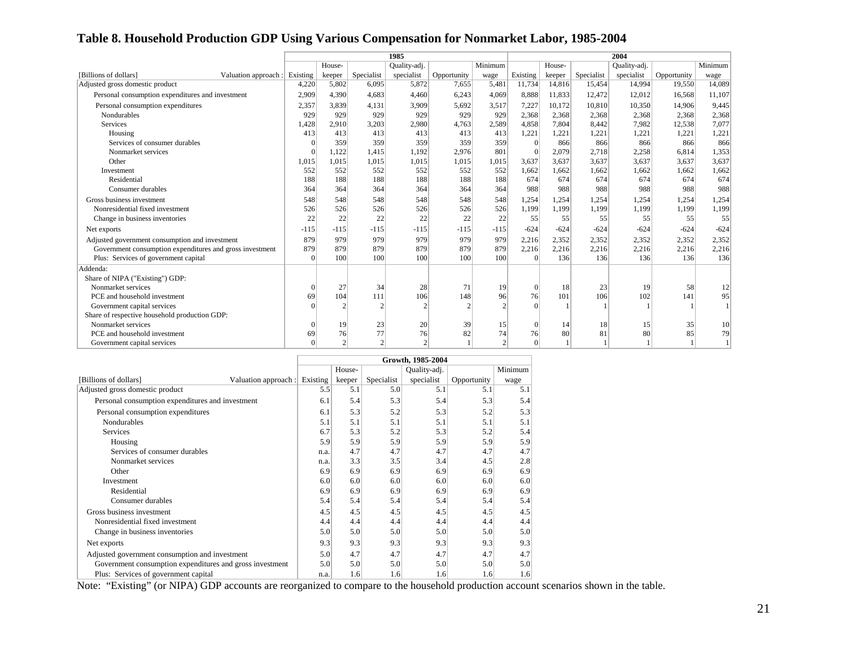# **Table 8. Household Production GDP Using Various Compensation for Nonmarket Labor, 1985-2004**

|                                                          | 1985     |                |            |              |               |               |          | 2004   |            |              |             |         |  |  |  |
|----------------------------------------------------------|----------|----------------|------------|--------------|---------------|---------------|----------|--------|------------|--------------|-------------|---------|--|--|--|
|                                                          |          | House-         |            | Quality-adj. |               | Minimum       |          | House- |            | Quality-adj. |             | Minimum |  |  |  |
| [Billions of dollars]<br>Valuation approach :            | Existing | keeper         | Specialist | specialist   | Opportunity   | wage          | Existing | keeper | Specialist | specialist   | Opportunity | wage    |  |  |  |
| Adjusted gross domestic product                          | 4,220    | 5,802          | 6.095      | 5,872        | 7,655         | 5,481         | 11,734   | 14,816 | 15,454     | 14.994       | 19,550      | 14,089  |  |  |  |
| Personal consumption expenditures and investment         | 2.909    | 4,390          | 4.683      | 4.460        | 6,243         | 4,069         | 8.888    | 11,833 | 12,472     | 12,012       | 16,568      | 11.107  |  |  |  |
| Personal consumption expenditures                        | 2,357    | 3.839          | 4,131      | 3,909        | 5,692         | 3,517         | 7,227    | 10.172 | 10,810     | 10,350       | 14.906      | 9.445   |  |  |  |
| <b>Nondurables</b>                                       | 929      | 929            | 929        | 929          | 929           | 929           | 2,368    | 2,368  | 2,368      | 2,368        | 2,368       | 2,368   |  |  |  |
| Services                                                 | 1,428    | 2.910          | 3,203      | 2,980        | 4,763         | 2,589         | 4,858    | 7.804  | 8,442      | 7,982        | 12,538      | 7,077   |  |  |  |
| Housing                                                  | 413      | 413            | 413        | 413          | 413           | 413           | 1,221    | 1.221  | 1,221      | 1,221        | 1,221       | 1,221   |  |  |  |
| Services of consumer durables                            |          | 359            | 359        | 359          | 359           | 359           |          | 866    | 866        | 866          | 866         | 866     |  |  |  |
| Nonmarket services                                       |          | 1,122          | 1,415      | 1,192        | 2,976         | 801           |          | 2,079  | 2,718      | 2,258        | 6,814       | 1,353   |  |  |  |
| Other                                                    | 1,015    | 1,015          | 1,015      | 1,015        | 1,015         | 1,015         | 3,637    | 3,637  | 3,637      | 3,637        | 3,637       | 3,637   |  |  |  |
| Investment                                               | 552      | 552            | 552        | 552          | 552           | 552           | 1,662    | 1,662  | 1,662      | 1,662        | 1,662       | 1,662   |  |  |  |
| Residential                                              | 188      | 188            | 188        | 188          | 188           | 188           | 674      | 674    | 674        | 674          | 674         | 674     |  |  |  |
| Consumer durables                                        | 364      | 364            | 364        | 364          | 364           | 364           | 988      | 988    | 988        | 988          | 988         | 988     |  |  |  |
| Gross business investment                                | 548      | 548            | 548        | 548          | 548           | 548           | 1,254    | 1.254  | 1,254      | 1,254        | 1,254       | 1,254   |  |  |  |
| Nonresidential fixed investment                          | 526      | 526            | 526        | 526          | 526           | 526           | 1,199    | 1,199  | 1,199      | 1,199        | 1,199       | 1,199   |  |  |  |
| Change in business inventories                           | 22       | 22             | 22         | 22           | 22            | 22            | 55       | 55     | 55         | 55           | 55          | 55      |  |  |  |
| Net exports                                              | $-115$   | $-115$         | $-115$     | $-115$       | $-115$        | $-115$        | $-624$   | $-624$ | $-624$     | $-624$       | $-624$      | $-624$  |  |  |  |
| Adjusted government consumption and investment           | 879      | 979            | 979        | 979          | 979           | 979           | 2,216    | 2.352  | 2,352      | 2,352        | 2,352       | 2,352   |  |  |  |
| Government consumption expenditures and gross investment | 879      | 879            | 879        | 879          | 879           | 879           | 2,216    | 2,216  | 2,216      | 2,216        | 2,216       | 2,216   |  |  |  |
| Plus: Services of government capital                     | $\Omega$ | 100            | 100        | 100          | 100           | 100           | $\Omega$ | 136    | 136        | 136          | 136         | 136     |  |  |  |
| Addenda:                                                 |          |                |            |              |               |               |          |        |            |              |             |         |  |  |  |
| Share of NIPA ("Existing") GDP:                          |          |                |            |              |               |               |          |        |            |              |             |         |  |  |  |
| Nonmarket services                                       |          | 27             | 34         | 28           | 71            | 19            | $\Omega$ | 18     | 23         | 19           | 58          | 12      |  |  |  |
| PCE and household investment                             | 69       | 104            | 111        | 106          | 148           | 96            | 76       | 101    | 106        | 102          | 141         | 95      |  |  |  |
| Government capital services                              |          | $\mathfrak{D}$ |            |              | $\mathcal{D}$ | $\mathcal{D}$ | $\Omega$ |        |            |              |             |         |  |  |  |
| Share of respective household production GDP:            |          |                |            |              |               |               |          |        |            |              |             |         |  |  |  |
| Nonmarket services                                       |          | 19             | 23         | 20           | 39            | 15            |          | 14     | 18         | 15           | 35          | 10      |  |  |  |
| PCE and household investment                             |          | 76             | 77         | 76           | 82            | 74            | 76       | 80     | 81         | 80           | 85          | 79      |  |  |  |
| Government capital services                              |          | $\overline{2}$ | $\gamma$   |              |               | $\gamma$      | $\Omega$ |        |            |              |             |         |  |  |  |

|                                                          |                               |      |        |            | Growth, 1985-2004 |             |         |
|----------------------------------------------------------|-------------------------------|------|--------|------------|-------------------|-------------|---------|
|                                                          |                               |      | House- |            | Quality-adj.      |             | Minimum |
| [Billions of dollars]                                    | Valuation approach : Existing |      | keeper | Specialist | specialist        | Opportunity | wage    |
| Adjusted gross domestic product                          |                               | 5.5  | 5.1    | 5.0        | 5.1               | 5.1         | 5.1     |
| Personal consumption expenditures and investment         |                               | 6.1  | 5.4    | 5.3        | 5.4               | 5.3         | 5.4     |
| Personal consumption expenditures                        |                               | 6.1  | 5.3    | 5.2        | 5.3               | 5.2         | 5.3     |
| <b>Nondurables</b>                                       |                               | 5.1  | 5.1    | 5.1        | 5.1               | 5.1         | 5.1     |
| <b>Services</b>                                          |                               | 6.7  | 5.3    | 5.2        | 5.3               | 5.2         | 5.4     |
| Housing                                                  |                               | 5.9  | 5.9    | 5.9        | 5.9               | 5.9         | 5.9     |
| Services of consumer durables                            |                               | n.a. | 4.7    | 4.7        | 4.7               | 4.7         | 4.7     |
| Nonmarket services                                       |                               | n.a. | 3.3    | 3.5        | 3.4               | 4.5         | 2.8     |
| Other                                                    |                               | 6.9  | 6.9    | 6.9        | 6.9               | 6.9         | 6.9     |
| Investment                                               |                               | 6.0  | 6.0    | 6.0        | 6.0               | 6.0         | 6.0     |
| Residential                                              |                               | 6.9  | 6.9    | 6.9        | 6.9               | 6.9         | 6.9     |
| Consumer durables                                        |                               | 5.4  | 5.4    | 5.4        | 5.4               | 5.4         | 5.4     |
| Gross business investment                                |                               | 4.5  | 4.5    | 4.5        | 4.5               | 4.5         | 4.5     |
| Nonresidential fixed investment                          |                               | 4.4  | 4.4    | 4.4        | 4.4               | 4.4         | 4.4     |
| Change in business inventories                           |                               | 5.0  | 5.0    | 5.0        | 5.0               | 5.0         | 5.0     |
| Net exports                                              |                               | 9.3  | 9.3    | 9.3        | 9.3               | 9.3         | 9.3     |
| Adjusted government consumption and investment           |                               | 5.0  | 4.7    | 4.7        | 4.7               | 4.7         | 4.7     |
| Government consumption expenditures and gross investment |                               | 5.0  | 5.0    | 5.0        | 5.0               | 5.0         | 5.0     |
| Plus: Services of government capital                     |                               | n.a. | 1.6    | 1.6        | 1.6               | 1.6         | 1.6     |

Note: "Existing" (or NIPA) GDP accounts are reorganized to compare to the household production account scenarios shown in the table.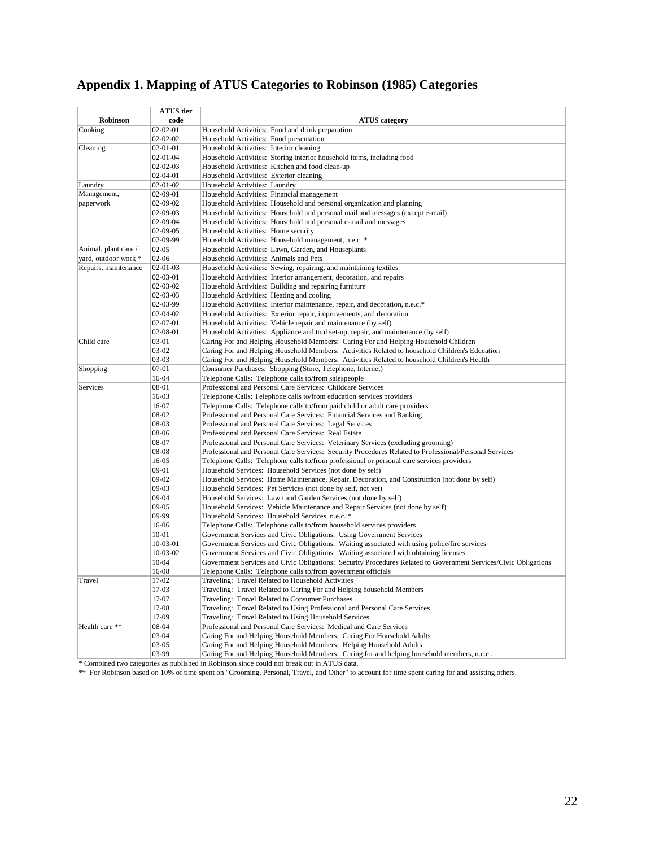| Appendix 1. Mapping of ATUS Categories to Robinson (1985) Categories |
|----------------------------------------------------------------------|
|----------------------------------------------------------------------|

|                      | <b>ATUS</b> tier     |                                                                                                                                               |
|----------------------|----------------------|-----------------------------------------------------------------------------------------------------------------------------------------------|
| Robinson             | code                 | <b>ATUS</b> category                                                                                                                          |
| Cooking              | $02 - 02 - 01$       | Household Activities: Food and drink preparation                                                                                              |
|                      | $02 - 02 - 02$       | Household Activities: Food presentation                                                                                                       |
| Cleaning             | 02-01-01             | Household Activities: Interior cleaning                                                                                                       |
|                      | $02 - 01 - 04$       | Household Activities: Storing interior household items, including food                                                                        |
|                      | $02 - 02 - 03$       | Household Activities: Kitchen and food clean-up                                                                                               |
|                      | 02-04-01             | Household Activities: Exterior cleaning                                                                                                       |
| Laundry              | $02 - 01 - 02$       | Household Activities: Laundry                                                                                                                 |
| Management,          | 02-09-01             | Household Activities: Financial management                                                                                                    |
| paperwork            | 02-09-02             | Household Activities: Household and personal organization and planning                                                                        |
|                      | 02-09-03<br>02-09-04 | Household Activities: Household and personal mail and messages (except e-mail)                                                                |
|                      | $02-09-05$           | Household Activities: Household and personal e-mail and messages<br>Household Activities: Home security                                       |
|                      | 02-09-99             | Household Activities: Household management, n.e.c*                                                                                            |
| Animal, plant care / | $02 - 05$            | Household Activities: Lawn, Garden, and Houseplants                                                                                           |
| yard, outdoor work * | 02-06                | Household Activities: Animals and Pets                                                                                                        |
| Repairs, maintenance | $02 - 01 - 03$       | Household Activities: Sewing, repairing, and maintaining textiles                                                                             |
|                      | 02-03-01             | Household Activities: Interior arrangement, decoration, and repairs                                                                           |
|                      | 02-03-02             | Household Activities: Building and repairing furniture                                                                                        |
|                      | 02-03-03             | Household Activities: Heating and cooling                                                                                                     |
|                      | 02-03-99             | Household Activities: Interior maintenance, repair, and decoration, n.e.c.*                                                                   |
|                      | $02 - 04 - 02$       | Household Activities: Exterior repair, improvements, and decoration                                                                           |
|                      | 02-07-01             | Household Activities: Vehicle repair and maintenance (by self)                                                                                |
|                      | 02-08-01             | Household Activities: Appliance and tool set-up, repair, and maintenance (by self)                                                            |
| Child care           | $03 - 01$            | Caring For and Helping Household Members: Caring For and Helping Household Children                                                           |
|                      | 03-02                | Caring For and Helping Household Members: Activities Related to household Children's Education                                                |
|                      | $03-03$              | Caring For and Helping Household Members: Activities Related to household Children's Health                                                   |
| Shopping             | $07 - 01$            | Consumer Purchases: Shopping (Store, Telephone, Internet)                                                                                     |
|                      | 16-04                | Telephone Calls: Telephone calls to/from salespeople                                                                                          |
| Services             | 08-01                | Professional and Personal Care Services: Childcare Services                                                                                   |
|                      | 16-03                | Telephone Calls: Telephone calls to/from education services providers                                                                         |
|                      | 16-07                | Telephone Calls: Telephone calls to/from paid child or adult care providers                                                                   |
|                      | 08-02                | Professional and Personal Care Services: Financial Services and Banking                                                                       |
|                      | 08-03                | Professional and Personal Care Services: Legal Services                                                                                       |
|                      | 08-06                | Professional and Personal Care Services: Real Estate                                                                                          |
|                      | 08-07                | Professional and Personal Care Services: Veterinary Services (excluding grooming)                                                             |
|                      | 08-08                | Professional and Personal Care Services: Security Procedures Related to Professional/Personal Services                                        |
|                      | 16-05                | Telephone Calls: Telephone calls to/from professional or personal care services providers                                                     |
|                      | $09-01$              | Household Services: Household Services (not done by self)                                                                                     |
|                      | $09 - 02$            | Household Services: Home Maintenance, Repair, Decoration, and Construction (not done by self)                                                 |
|                      | $09-03$              | Household Services: Pet Services (not done by self, not vet)                                                                                  |
|                      | $09 - 04$            | Household Services: Lawn and Garden Services (not done by self)                                                                               |
|                      | $09 - 05$<br>09-99   | Household Services: Vehicle Maintenance and Repair Services (not done by self)                                                                |
|                      | 16-06                | Household Services: Household Services, n.e.c*                                                                                                |
|                      | $10 - 01$            | Telephone Calls: Telephone calls to/from household services providers<br>Government Services and Civic Obligations: Using Government Services |
|                      | 10-03-01             | Government Services and Civic Obligations: Waiting associated with using police/fire services                                                 |
|                      | 10-03-02             | Government Services and Civic Obligations: Waiting associated with obtaining licenses                                                         |
|                      | $10 - 04$            | Government Services and Civic Obligations: Security Procedures Related to Government Services/Civic Obligations                               |
|                      | 16-08                | Telephone Calls: Telephone calls to/from government officials                                                                                 |
| Travel               | 17-02                | Traveling: Travel Related to Household Activities                                                                                             |
|                      | 17-03                | Traveling: Travel Related to Caring For and Helping household Members                                                                         |
|                      | 17-07                | Traveling: Travel Related to Consumer Purchases                                                                                               |
|                      | 17-08                | Traveling: Travel Related to Using Professional and Personal Care Services                                                                    |
|                      | 17-09                | Traveling: Travel Related to Using Household Services                                                                                         |
| Health care **       | 08-04                | Professional and Personal Care Services: Medical and Care Services                                                                            |
|                      | $03 - 04$            | Caring For and Helping Household Members: Caring For Household Adults                                                                         |
|                      | $03 - 05$            | Caring For and Helping Household Members: Helping Household Adults                                                                            |
|                      | 03-99                | Caring For and Helping Household Members: Caring for and helping household members, n.e.c                                                     |

\* Combined two categories as published in Robinson since could not break out in ATUS data.

\*\* For Robinson based on 10% of time spent on "Grooming, Personal, Travel, and Other" to account for time spent caring for and assisting others.